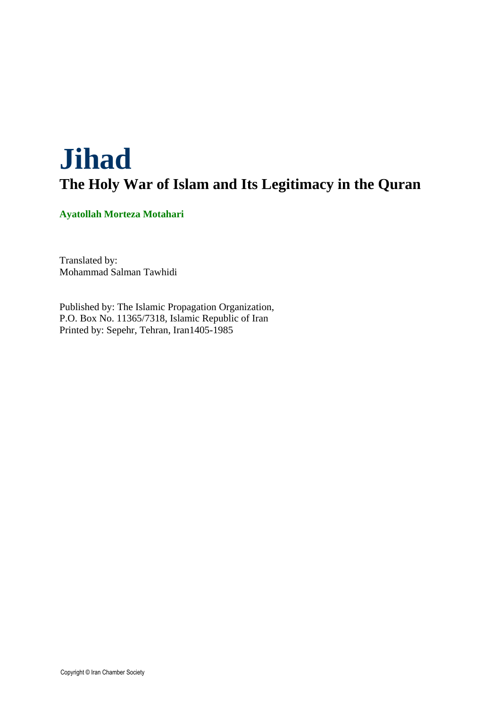# **Jihad The Holy War of Islam and Its Legitimacy in the Quran**

**Ayatollah Morteza Motahari** 

Translated by: Mohammad Salman Tawhidi

Published by: The Islamic Propagation Organization, P.O. Box No. 11365/7318, Islamic Republic of Iran Printed by: Sepehr, Tehran, Iran1405-1985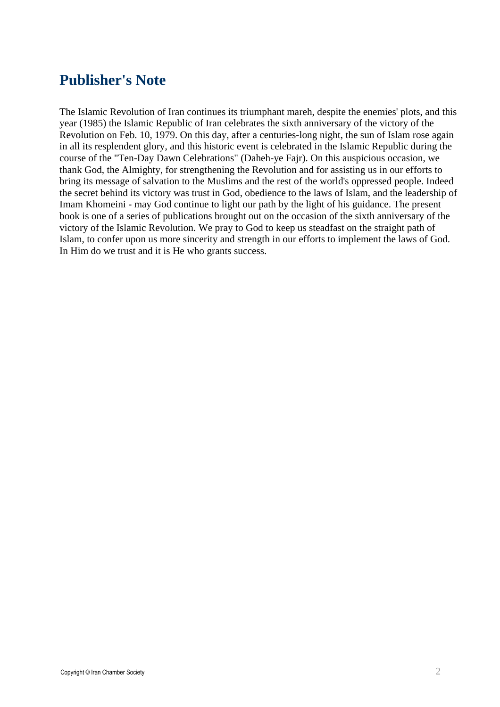### **Publisher's Note**

The Islamic Revolution of Iran continues its triumphant mareh, despite the enemies' plots, and this year (1985) the Islamic Republic of Iran celebrates the sixth anniversary of the victory of the Revolution on Feb. 10, 1979. On this day, after a centuries-long night, the sun of Islam rose again in all its resplendent glory, and this historic event is celebrated in the Islamic Republic during the course of the "Ten-Day Dawn Celebrations" (Daheh-ye Fajr). On this auspicious occasion, we thank God, the Almighty, for strengthening the Revolution and for assisting us in our efforts to bring its message of salvation to the Muslims and the rest of the world's oppressed people. Indeed the secret behind its victory was trust in God, obedience to the laws of Islam, and the leadership of Imam Khomeini - may God continue to light our path by the light of his guidance. The present book is one of a series of publications brought out on the occasion of the sixth anniversary of the victory of the Islamic Revolution. We pray to God to keep us steadfast on the straight path of Islam, to confer upon us more sincerity and strength in our efforts to implement the laws of God. In Him do we trust and it is He who grants success.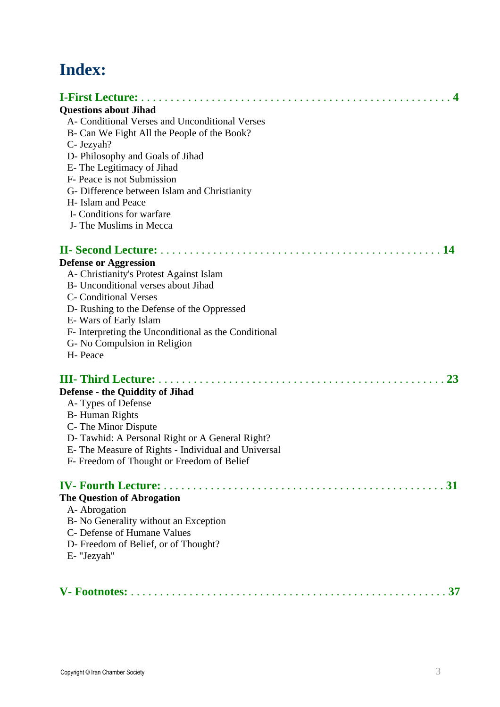# **Index:**

| <b>Questions about Jihad</b>                         |
|------------------------------------------------------|
| A-Conditional Verses and Unconditional Verses        |
| B- Can We Fight All the People of the Book?          |
| C- Jezyah?                                           |
| D- Philosophy and Goals of Jihad                     |
| E-The Legitimacy of Jihad                            |
| F- Peace is not Submission                           |
| G- Difference between Islam and Christianity         |
| H- Islam and Peace                                   |
| I- Conditions for warfare                            |
| J- The Muslims in Mecca                              |
|                                                      |
| <b>Defense or Aggression</b>                         |
| A- Christianity's Protest Against Islam              |
| B- Unconditional verses about Jihad                  |
| <b>C</b> - Conditional Verses                        |
| D- Rushing to the Defense of the Oppressed           |
| E-Wars of Early Islam                                |
| F- Interpreting the Unconditional as the Conditional |
| G- No Compulsion in Religion                         |
| H- Peace                                             |
|                                                      |
| <b>Defense - the Quiddity of Jihad</b>               |
| A-Types of Defense                                   |
| <b>B-Human Rights</b>                                |
| C- The Minor Dispute                                 |
| D-Tawhid: A Personal Right or A General Right?       |
| E- The Measure of Rights - Individual and Universal  |
| F- Freedom of Thought or Freedom of Belief           |
| 31                                                   |
| <b>The Question of Abrogation</b>                    |
| A-Abrogation                                         |
| B- No Generality without an Exception                |
| C- Defense of Humane Values                          |
| D- Freedom of Belief, or of Thought?                 |
| E- "Jezyah"                                          |
|                                                      |
|                                                      |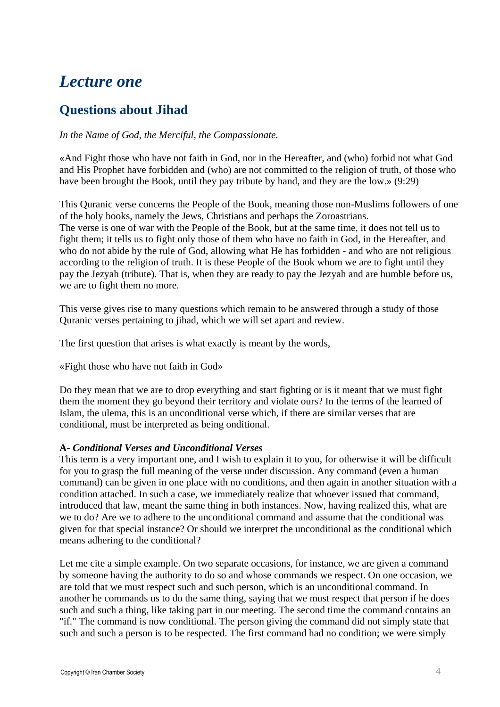## *Lecture one*

### **Questions about Jihad**

*In the Name of God, the Merciful, the Compassionate.* 

«And Fight those who have not faith in God, nor in the Hereafter, and (who) forbid not what God and His Prophet have forbidden and (who) are not committed to the religion of truth, of those who have been brought the Book, until they pay tribute by hand, and they are the low.» (9:29)

This Quranic verse concerns the People of the Book, meaning those non-Muslims followers of one of the holy books, namely the Jews, Christians and perhaps the Zoroastrians. The verse is one of war with the People of the Book, but at the same time, it does not tell us to fight them; it tells us to fight only those of them who have no faith in God, in the Hereafter, and who do not abide by the rule of God, allowing what He has forbidden - and who are not religious according to the religion of truth. It is these People of the Book whom we are to fight until they pay the Jezyah (tribute). That is, when they are ready to pay the Jezyah and are humble before us, we are to fight them no more.

This verse gives rise to many questions which remain to be answered through a study of those Quranic verses pertaining to jihad, which we will set apart and review.

The first question that arises is what exactly is meant by the words,

«Fight those who have not faith in God»

Do they mean that we are to drop everything and start fighting or is it meant that we must fight them the moment they go beyond their territory and violate ours? In the terms of the learned of Islam, the ulema, this is an unconditional verse which, if there are similar verses that are conditional, must be interpreted as being onditional.

#### **A-** *Conditional Verses and Unconditional Verses*

This term is a very important one, and I wish to explain it to you, for otherwise it will be difficult for you to grasp the full meaning of the verse under discussion. Any command (even a human command) can be given in one place with no conditions, and then again in another situation with a condition attached. In such a case, we immediately realize that whoever issued that command, introduced that law, meant the same thing in both instances. Now, having realized this, what are we to do? Are we to adhere to the unconditional command and assume that the conditional was given for that special instance? Or should we interpret the unconditional as the conditional which means adhering to the conditional?

Let me cite a simple example. On two separate occasions, for instance, we are given a command by someone having the authority to do so and whose commands we respect. On one occasion, we are told that we must respect such and such person, which is an unconditional command. In another he commands us to do the same thing, saying that we must respect that person if he does such and such a thing, like taking part in our meeting. The second time the command contains an "if." The command is now conditional. The person giving the command did not simply state that such and such a person is to be respected. The first command had no condition; we were simply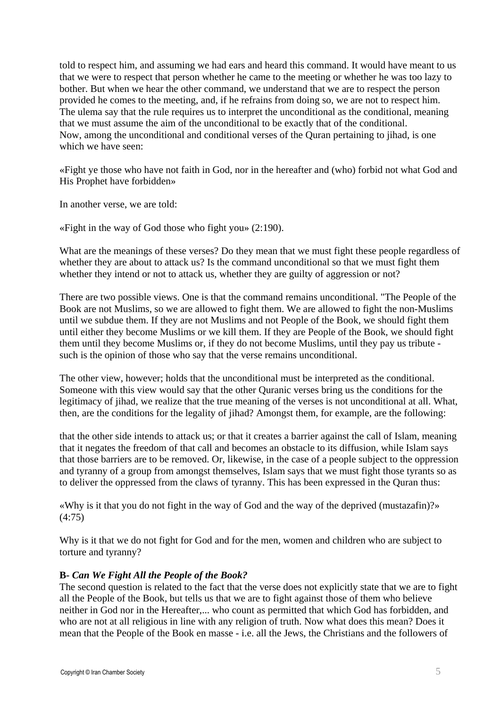told to respect him, and assuming we had ears and heard this command. It would have meant to us that we were to respect that person whether he came to the meeting or whether he was too lazy to bother. But when we hear the other command, we understand that we are to respect the person provided he comes to the meeting, and, if he refrains from doing so, we are not to respect him. The ulema say that the rule requires us to interpret the unconditional as the conditional, meaning that we must assume the aim of the unconditional to be exactly that of the conditional. Now, among the unconditional and conditional verses of the Quran pertaining to jihad, is one which we have seen:

«Fight ye those who have not faith in God, nor in the hereafter and (who) forbid not what God and His Prophet have forbidden»

In another verse, we are told:

«Fight in the way of God those who fight you» (2:190).

What are the meanings of these verses? Do they mean that we must fight these people regardless of whether they are about to attack us? Is the command unconditional so that we must fight them whether they intend or not to attack us, whether they are guilty of aggression or not?

There are two possible views. One is that the command remains unconditional. "The People of the Book are not Muslims, so we are allowed to fight them. We are allowed to fight the non-Muslims until we subdue them. If they are not Muslims and not People of the Book, we should fight them until either they become Muslims or we kill them. If they are People of the Book, we should fight them until they become Muslims or, if they do not become Muslims, until they pay us tribute such is the opinion of those who say that the verse remains unconditional.

The other view, however; holds that the unconditional must be interpreted as the conditional. Someone with this view would say that the other Quranic verses bring us the conditions for the legitimacy of jihad, we realize that the true meaning of the verses is not unconditional at all. What, then, are the conditions for the legality of jihad? Amongst them, for example, are the following:

that the other side intends to attack us; or that it creates a barrier against the call of Islam, meaning that it negates the freedom of that call and becomes an obstacle to its diffusion, while Islam says that those barriers are to be removed. Or, likewise, in the case of a people subject to the oppression and tyranny of a group from amongst themselves, Islam says that we must fight those tyrants so as to deliver the oppressed from the claws of tyranny. This has been expressed in the Quran thus:

«Why is it that you do not fight in the way of God and the way of the deprived (mustazafin)?» (4:75)

Why is it that we do not fight for God and for the men, women and children who are subject to torture and tyranny?

#### **B-** *Can We Fight All the People of the Book?*

The second question is related to the fact that the verse does not explicitly state that we are to fight all the People of the Book, but tells us that we are to fight against those of them who believe neither in God nor in the Hereafter,... who count as permitted that which God has forbidden, and who are not at all religious in line with any religion of truth. Now what does this mean? Does it mean that the People of the Book en masse - i.e. all the Jews, the Christians and the followers of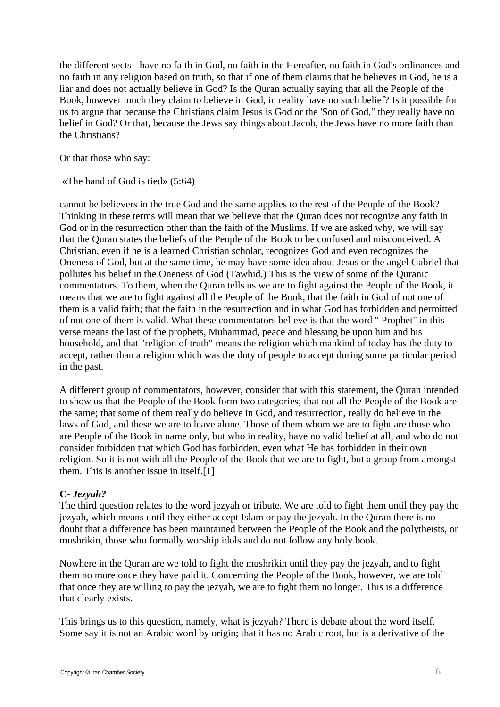the different sects - have no faith in God, no faith in the Hereafter, no faith in God's ordinances and no faith in any religion based on truth, so that if one of them claims that he believes in God, he is a liar and does not actually believe in God? Is the Quran actually saying that all the People of the Book, however much they claim to believe in God, in reality have no such belief? Is it possible for us to argue that because the Christians claim Jesus is God or the 'Son of God," they really have no belief in God? Or that, because the Jews say things about Jacob, the Jews have no more faith than the Christians?

Or that those who say:

«The hand of God is tied» (5:64)

cannot be believers in the true God and the same applies to the rest of the People of the Book? Thinking in these terms will mean that we believe that the Quran does not recognize any faith in God or in the resurrection other than the faith of the Muslims. If we are asked why, we will say that the Quran states the beliefs of the People of the Book to be confused and misconceived. A Christian, even if he is a learned Christian scholar, recognizes God and even recognizes the Oneness of God, but at the same time, he may have some idea about Jesus or the angel Gabriel that pollutes his belief in the Oneness of God (Tawhid.) This is the view of some of the Quranic commentators. To them, when the Quran tells us we are to fight against the People of the Book, it means that we are to fight against all the People of the Book, that the faith in God of not one of them is a valid faith; that the faith in the resurrection and in what God has forbidden and permitted of not one of them is valid. What these commentators believe is that the word " Prophet" in this verse means the last of the prophets, Muhammad, peace and blessing be upon him and his household, and that "religion of truth" means the religion which mankind of today has the duty to accept, rather than a religion which was the duty of people to accept during some particular period in the past.

A different group of commentators, however, consider that with this statement, the Quran intended to show us that the People of the Book form two categories; that not all the People of the Book are the same; that some of them really do believe in God, and resurrection, really do believe in the laws of God, and these we are to leave alone. Those of them whom we are to fight are those who are People of the Book in name only, but who in reality, have no valid belief at all, and who do not consider forbidden that which God has forbidden, even what He has forbidden in their own religion. So it is not with all the People of the Book that we are to fight, but a group from amongst them. This is another issue in itself.[1]

#### **C-** *Jezyah?*

The third question relates to the word jezyah or tribute. We are told to fight them until they pay the jezyah, which means until they either accept Islam or pay the jezyah. In the Quran there is no doubt that a difference has been maintained between the People of the Book and the polytheists, or mushrikin, those who formally worship idols and do not follow any holy book.

Nowhere in the Quran are we told to fight the mushrikin until they pay the jezyah, and to fight them no more once they have paid it. Concerning the People of the Book, however, we are told that once they are willing to pay the jezyah, we are to fight them no longer. This is a difference that clearly exists.

This brings us to this question, namely, what is jezyah? There is debate about the word itself. Some say it is not an Arabic word by origin; that it has no Arabic root, but is a derivative of the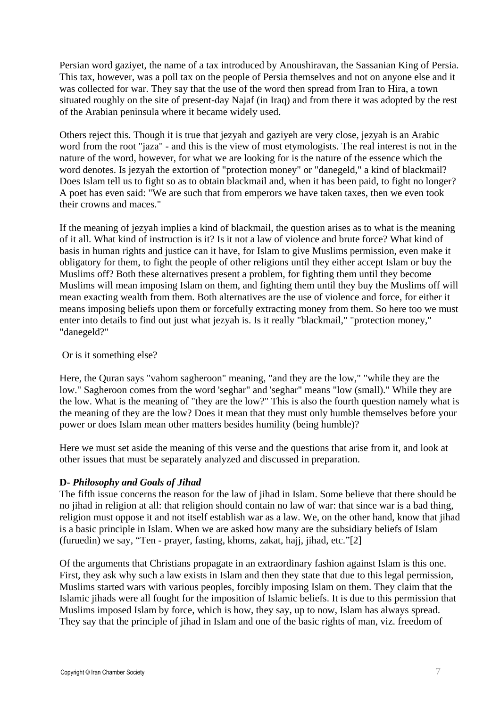Persian word gaziyet, the name of a tax introduced by Anoushiravan, the Sassanian King of Persia. This tax, however, was a poll tax on the people of Persia themselves and not on anyone else and it was collected for war. They say that the use of the word then spread from Iran to Hira, a town situated roughly on the site of present-day Najaf (in Iraq) and from there it was adopted by the rest of the Arabian peninsula where it became widely used.

Others reject this. Though it is true that jezyah and gaziyeh are very close, jezyah is an Arabic word from the root "jaza" - and this is the view of most etymologists. The real interest is not in the nature of the word, however, for what we are looking for is the nature of the essence which the word denotes. Is jezyah the extortion of "protection money" or "danegeld," a kind of blackmail? Does Islam tell us to fight so as to obtain blackmail and, when it has been paid, to fight no longer? A poet has even said: "We are such that from emperors we have taken taxes, then we even took their crowns and maces."

If the meaning of jezyah implies a kind of blackmail, the question arises as to what is the meaning of it all. What kind of instruction is it? Is it not a law of violence and brute force? What kind of basis in human rights and justice can it have, for Islam to give Muslims permission, even make it obligatory for them, to fight the people of other religions until they either accept Islam or buy the Muslims off? Both these alternatives present a problem, for fighting them until they become Muslims will mean imposing Islam on them, and fighting them until they buy the Muslims off will mean exacting wealth from them. Both alternatives are the use of violence and force, for either it means imposing beliefs upon them or forcefully extracting money from them. So here too we must enter into details to find out just what jezyah is. Is it really "blackmail," "protection money," "danegeld?"

#### Or is it something else?

Here, the Quran says "vahom sagheroon" meaning, "and they are the low," "while they are the low." Sagheroon comes from the word 'seghar" and 'seghar" means "low (small)." While they are the low. What is the meaning of "they are the low?" This is also the fourth question namely what is the meaning of they are the low? Does it mean that they must only humble themselves before your power or does Islam mean other matters besides humility (being humble)?

Here we must set aside the meaning of this verse and the questions that arise from it, and look at other issues that must be separately analyzed and discussed in preparation.

#### **D-** *Philosophy and Goals of Jihad*

The fifth issue concerns the reason for the law of jihad in Islam. Some believe that there should be no jihad in religion at all: that religion should contain no law of war: that since war is a bad thing, religion must oppose it and not itself establish war as a law. We, on the other hand, know that jihad is a basic principle in Islam. When we are asked how many are the subsidiary beliefs of Islam (furuedin) we say, "Ten - prayer, fasting, khoms, zakat, hajj, jihad, etc."[2]

Of the arguments that Christians propagate in an extraordinary fashion against Islam is this one. First, they ask why such a law exists in Islam and then they state that due to this legal permission, Muslims started wars with various peoples, forcibly imposing Islam on them. They claim that the Islamic jihads were all fought for the imposition of Islamic beliefs. It is due to this permission that Muslims imposed Islam by force, which is how, they say, up to now, Islam has always spread. They say that the principle of jihad in Islam and one of the basic rights of man, viz. freedom of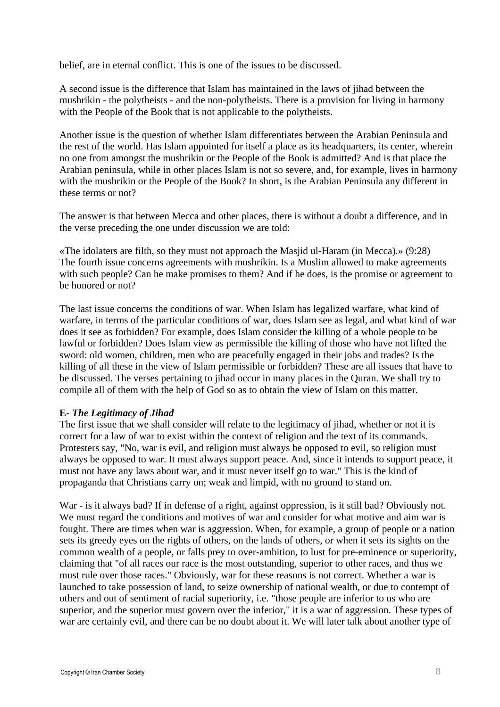belief, are in eternal conflict. This is one of the issues to be discussed.

A second issue is the difference that Islam has maintained in the laws of jihad between the mushrikin - the polytheists - and the non-polytheists. There is a provision for living in harmony with the People of the Book that is not applicable to the polytheists.

Another issue is the question of whether Islam differentiates between the Arabian Peninsula and the rest of the world. Has Islam appointed for itself a place as its headquarters, its center, wherein no one from amongst the mushrikin or the People of the Book is admitted? And is that place the Arabian peninsula, while in other places Islam is not so severe, and, for example, lives in harmony with the mushrikin or the People of the Book? In short, is the Arabian Peninsula any different in these terms or not?

The answer is that between Mecca and other places, there is without a doubt a difference, and in the verse preceding the one under discussion we are told:

«The idolaters are filth, so they must not approach the Masjid ul-Haram (in Mecca).» (9:28) The fourth issue concerns agreements with mushrikin. Is a Muslim allowed to make agreements with such people? Can he make promises to them? And if he does, is the promise or agreement to be honored or not?

The last issue concerns the conditions of war. When Islam has legalized warfare, what kind of warfare, in terms of the particular conditions of war, does Islam see as legal, and what kind of war does it see as forbidden? For example, does Islam consider the killing of a whole people to be lawful or forbidden? Does Islam view as permissible the killing of those who have not lifted the sword: old women, children, men who are peacefully engaged in their jobs and trades? Is the killing of all these in the view of Islam permissible or forbidden? These are all issues that have to be discussed. The verses pertaining to jihad occur in many places in the Quran. We shall try to compile all of them with the help of God so as to obtain the view of Islam on this matter.

#### **E-** *The Legitimacy of Jihad*

The first issue that we shall consider will relate to the legitimacy of jihad, whether or not it is correct for a law of war to exist within the context of religion and the text of its commands. Protesters say, "No, war is evil, and religion must always be opposed to evil, so religion must always be opposed to war. It must always support peace. And, since it intends to support peace, it must not have any laws about war, and it must never itself go to war." This is the kind of propaganda that Christians carry on; weak and limpid, with no ground to stand on.

War - is it always bad? If in defense of a right, against oppression, is it still bad? Obviously not. We must regard the conditions and motives of war and consider for what motive and aim war is fought. There are times when war is aggression. When, for example, a group of people or a nation sets its greedy eyes on the rights of others, on the lands of others, or when it sets its sights on the common wealth of a people, or falls prey to over-ambition, to lust for pre-eminence or superiority, claiming that "of all races our race is the most outstanding, superior to other races, and thus we must rule over those races." Obviously, war for these reasons is not correct. Whether a war is launched to take possession of land, to seize ownership of national wealth, or due to contempt of others and out of sentiment of racial superiority, i.e. "those people are inferior to us who are superior, and the superior must govern over the inferior," it is a war of aggression. These types of war are certainly evil, and there can be no doubt about it. We will later talk about another type of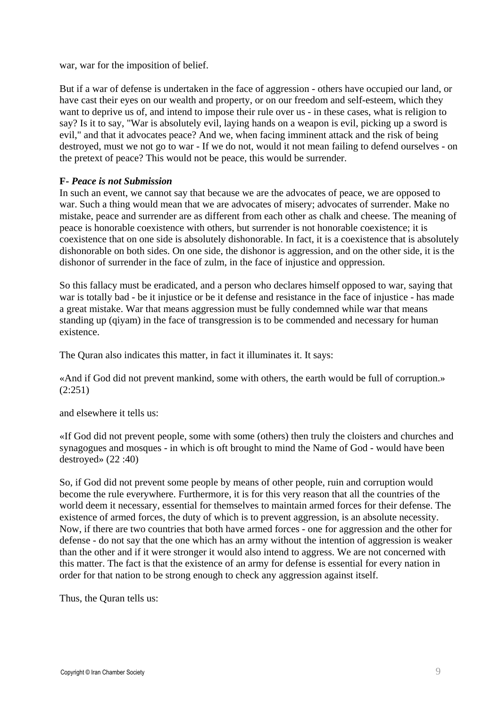war, war for the imposition of belief.

But if a war of defense is undertaken in the face of aggression - others have occupied our land, or have cast their eyes on our wealth and property, or on our freedom and self-esteem, which they want to deprive us of, and intend to impose their rule over us - in these cases, what is religion to say? Is it to say, "War is absolutely evil, laying hands on a weapon is evil, picking up a sword is evil," and that it advocates peace? And we, when facing imminent attack and the risk of being destroyed, must we not go to war - If we do not, would it not mean failing to defend ourselves - on the pretext of peace? This would not be peace, this would be surrender.

#### **F-** *Peace is not Submission*

In such an event, we cannot say that because we are the advocates of peace, we are opposed to war. Such a thing would mean that we are advocates of misery; advocates of surrender. Make no mistake, peace and surrender are as different from each other as chalk and cheese. The meaning of peace is honorable coexistence with others, but surrender is not honorable coexistence; it is coexistence that on one side is absolutely dishonorable. In fact, it is a coexistence that is absolutely dishonorable on both sides. On one side, the dishonor is aggression, and on the other side, it is the dishonor of surrender in the face of zulm, in the face of injustice and oppression.

So this fallacy must be eradicated, and a person who declares himself opposed to war, saying that war is totally bad - be it injustice or be it defense and resistance in the face of injustice - has made a great mistake. War that means aggression must be fully condemned while war that means standing up (qiyam) in the face of transgression is to be commended and necessary for human existence.

The Quran also indicates this matter, in fact it illuminates it. It says:

«And if God did not prevent mankind, some with others, the earth would be full of corruption.» (2:251)

and elsewhere it tells us:

«If God did not prevent people, some with some (others) then truly the cloisters and churches and synagogues and mosques - in which is oft brought to mind the Name of God - would have been destroyed» (22 :40)

So, if God did not prevent some people by means of other people, ruin and corruption would become the rule everywhere. Furthermore, it is for this very reason that all the countries of the world deem it necessary, essential for themselves to maintain armed forces for their defense. The existence of armed forces, the duty of which is to prevent aggression, is an absolute necessity. Now, if there are two countries that both have armed forces - one for aggression and the other for defense - do not say that the one which has an army without the intention of aggression is weaker than the other and if it were stronger it would also intend to aggress. We are not concerned with this matter. The fact is that the existence of an army for defense is essential for every nation in order for that nation to be strong enough to check any aggression against itself.

Thus, the Quran tells us: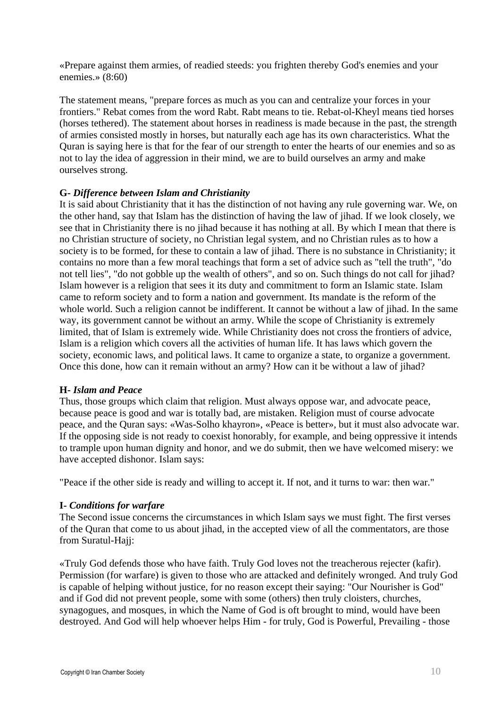«Prepare against them armies, of readied steeds: you frighten thereby God's enemies and your enemies.» (8:60)

The statement means, "prepare forces as much as you can and centralize your forces in your frontiers." Rebat comes from the word Rabt. Rabt means to tie. Rebat-ol-Kheyl means tied horses (horses tethered). The statement about horses in readiness is made because in the past, the strength of armies consisted mostly in horses, but naturally each age has its own characteristics. What the Quran is saying here is that for the fear of our strength to enter the hearts of our enemies and so as not to lay the idea of aggression in their mind, we are to build ourselves an army and make ourselves strong.

#### **G-** *Difference between Islam and Christianity*

It is said about Christianity that it has the distinction of not having any rule governing war. We, on the other hand, say that Islam has the distinction of having the law of jihad. If we look closely, we see that in Christianity there is no jihad because it has nothing at all. By which I mean that there is no Christian structure of society, no Christian legal system, and no Christian rules as to how a society is to be formed, for these to contain a law of jihad. There is no substance in Christianity; it contains no more than a few moral teachings that form a set of advice such as "tell the truth", "do not tell lies", "do not gobble up the wealth of others", and so on. Such things do not call for jihad? Islam however is a religion that sees it its duty and commitment to form an Islamic state. Islam came to reform society and to form a nation and government. Its mandate is the reform of the whole world. Such a religion cannot be indifferent. It cannot be without a law of jihad. In the same way, its government cannot be without an army. While the scope of Christianity is extremely limited, that of Islam is extremely wide. While Christianity does not cross the frontiers of advice, Islam is a religion which covers all the activities of human life. It has laws which govern the society, economic laws, and political laws. It came to organize a state, to organize a government. Once this done, how can it remain without an army? How can it be without a law of jihad?

#### **H-** *Islam and Peace*

Thus, those groups which claim that religion. Must always oppose war, and advocate peace, because peace is good and war is totally bad, are mistaken. Religion must of course advocate peace, and the Quran says: «Was-Solho khayron», «Peace is better», but it must also advocate war. If the opposing side is not ready to coexist honorably, for example, and being oppressive it intends to trample upon human dignity and honor, and we do submit, then we have welcomed misery: we have accepted dishonor. Islam says:

"Peace if the other side is ready and willing to accept it. If not, and it turns to war: then war."

#### **I-** *Conditions for warfare*

The Second issue concerns the circumstances in which Islam says we must fight. The first verses of the Quran that come to us about jihad, in the accepted view of all the commentators, are those from Suratul-Hajj:

«Truly God defends those who have faith. Truly God loves not the treacherous rejecter (kafir). Permission (for warfare) is given to those who are attacked and definitely wronged. And truly God is capable of helping without justice, for no reason except their saying: "Our Nourisher is God" and if God did not prevent people, some with some (others) then truly cloisters, churches, synagogues, and mosques, in which the Name of God is oft brought to mind, would have been destroyed. And God will help whoever helps Him - for truly, God is Powerful, Prevailing - those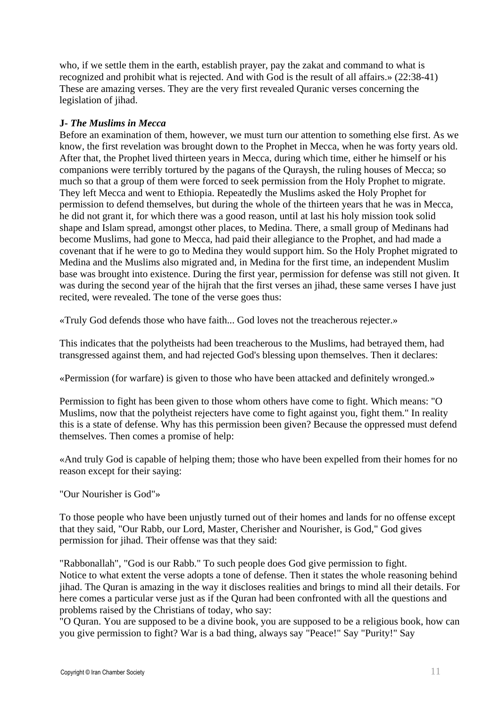who, if we settle them in the earth, establish prayer, pay the zakat and command to what is recognized and prohibit what is rejected. And with God is the result of all affairs.» (22:38-41) These are amazing verses. They are the very first revealed Quranic verses concerning the legislation of jihad.

#### **J-** *The Muslims in Mecca*

Before an examination of them, however, we must turn our attention to something else first. As we know, the first revelation was brought down to the Prophet in Mecca, when he was forty years old. After that, the Prophet lived thirteen years in Mecca, during which time, either he himself or his companions were terribly tortured by the pagans of the Quraysh, the ruling houses of Mecca; so much so that a group of them were forced to seek permission from the Holy Prophet to migrate. They left Mecca and went to Ethiopia. Repeatedly the Muslims asked the Holy Prophet for permission to defend themselves, but during the whole of the thirteen years that he was in Mecca, he did not grant it, for which there was a good reason, until at last his holy mission took solid shape and Islam spread, amongst other places, to Medina. There, a small group of Medinans had become Muslims, had gone to Mecca, had paid their allegiance to the Prophet, and had made a covenant that if he were to go to Medina they would support him. So the Holy Prophet migrated to Medina and the Muslims also migrated and, in Medina for the first time, an independent Muslim base was brought into existence. During the first year, permission for defense was still not given. It was during the second year of the hijrah that the first verses an jihad, these same verses I have just recited, were revealed. The tone of the verse goes thus:

«Truly God defends those who have faith... God loves not the treacherous rejecter.»

This indicates that the polytheists had been treacherous to the Muslims, had betrayed them, had transgressed against them, and had rejected God's blessing upon themselves. Then it declares:

«Permission (for warfare) is given to those who have been attacked and definitely wronged.»

Permission to fight has been given to those whom others have come to fight. Which means: "O Muslims, now that the polytheist rejecters have come to fight against you, fight them." In reality this is a state of defense. Why has this permission been given? Because the oppressed must defend themselves. Then comes a promise of help:

«And truly God is capable of helping them; those who have been expelled from their homes for no reason except for their saying:

"Our Nourisher is God"»

To those people who have been unjustly turned out of their homes and lands for no offense except that they said, "Our Rabb, our Lord, Master, Cherisher and Nourisher, is God," God gives permission for jihad. Their offense was that they said:

"Rabbonallah", "God is our Rabb." To such people does God give permission to fight. Notice to what extent the verse adopts a tone of defense. Then it states the whole reasoning behind jihad. The Quran is amazing in the way it discloses realities and brings to mind all their details. For here comes a particular verse just as if the Quran had been confronted with all the questions and problems raised by the Christians of today, who say:

"O Quran. You are supposed to be a divine book, you are supposed to be a religious book, how can you give permission to fight? War is a bad thing, always say "Peace!" Say "Purity!" Say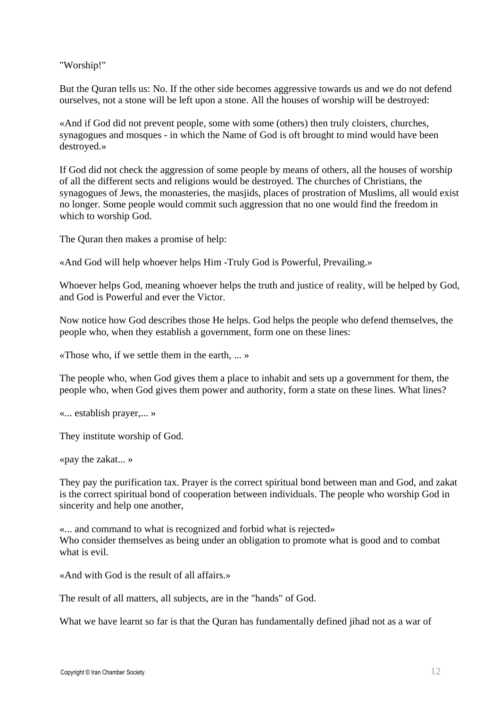"Worship!"

But the Quran tells us: No. If the other side becomes aggressive towards us and we do not defend ourselves, not a stone will be left upon a stone. All the houses of worship will be destroyed:

«And if God did not prevent people, some with some (others) then truly cloisters, churches, synagogues and mosques - in which the Name of God is oft brought to mind would have been destroyed.»

If God did not check the aggression of some people by means of others, all the houses of worship of all the different sects and religions would be destroyed. The churches of Christians, the synagogues of Jews, the monasteries, the masjids, places of prostration of Muslims, all would exist no longer. Some people would commit such aggression that no one would find the freedom in which to worship God.

The Quran then makes a promise of help:

«And God will help whoever helps Him -Truly God is Powerful, Prevailing.»

Whoever helps God, meaning whoever helps the truth and justice of reality, will be helped by God, and God is Powerful and ever the Victor.

Now notice how God describes those He helps. God helps the people who defend themselves, the people who, when they establish a government, form one on these lines:

«Those who, if we settle them in the earth, ... »

The people who, when God gives them a place to inhabit and sets up a government for them, the people who, when God gives them power and authority, form a state on these lines. What lines?

«... establish prayer,... »

They institute worship of God.

«pay the zakat... »

They pay the purification tax. Prayer is the correct spiritual bond between man and God, and zakat is the correct spiritual bond of cooperation between individuals. The people who worship God in sincerity and help one another,

«... and command to what is recognized and forbid what is rejected» Who consider themselves as being under an obligation to promote what is good and to combat what is evil.

«And with God is the result of all affairs.»

The result of all matters, all subjects, are in the "hands" of God.

What we have learnt so far is that the Quran has fundamentally defined jihad not as a war of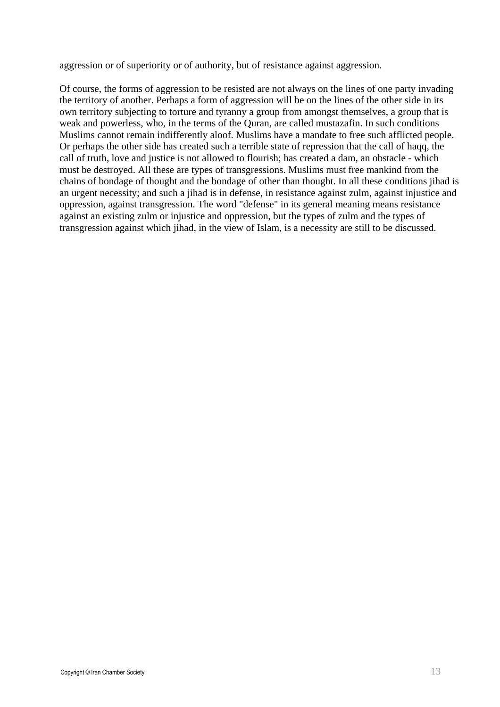aggression or of superiority or of authority, but of resistance against aggression.

Of course, the forms of aggression to be resisted are not always on the lines of one party invading the territory of another. Perhaps a form of aggression will be on the lines of the other side in its own territory subjecting to torture and tyranny a group from amongst themselves, a group that is weak and powerless, who, in the terms of the Quran, are called mustazafin. In such conditions Muslims cannot remain indifferently aloof. Muslims have a mandate to free such afflicted people. Or perhaps the other side has created such a terrible state of repression that the call of haqq, the call of truth, love and justice is not allowed to flourish; has created a dam, an obstacle - which must be destroyed. All these are types of transgressions. Muslims must free mankind from the chains of bondage of thought and the bondage of other than thought. In all these conditions jihad is an urgent necessity; and such a jihad is in defense, in resistance against zulm, against injustice and oppression, against transgression. The word "defense" in its general meaning means resistance against an existing zulm or injustice and oppression, but the types of zulm and the types of transgression against which jihad, in the view of Islam, is a necessity are still to be discussed.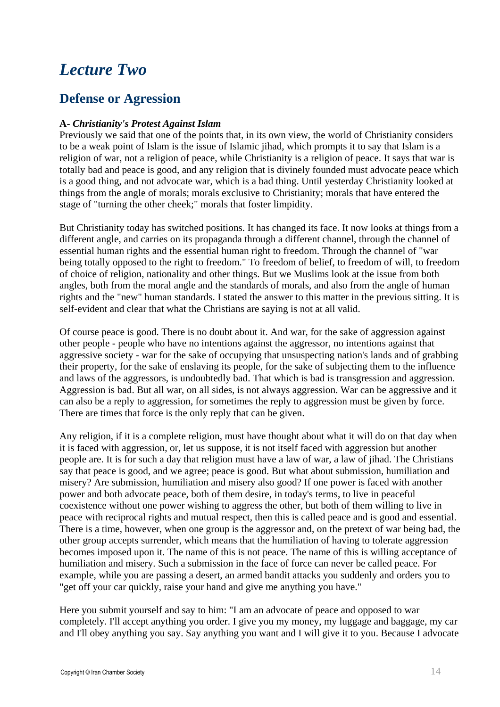# *Lecture Two*

### **Defense or Agression**

#### **A-** *Christianity's Protest Against Islam*

Previously we said that one of the points that, in its own view, the world of Christianity considers to be a weak point of Islam is the issue of Islamic jihad, which prompts it to say that Islam is a religion of war, not a religion of peace, while Christianity is a religion of peace. It says that war is totally bad and peace is good, and any religion that is divinely founded must advocate peace which is a good thing, and not advocate war, which is a bad thing. Until yesterday Christianity looked at things from the angle of morals; morals exclusive to Christianity; morals that have entered the stage of "turning the other cheek;" morals that foster limpidity.

But Christianity today has switched positions. It has changed its face. It now looks at things from a different angle, and carries on its propaganda through a different channel, through the channel of essential human rights and the essential human right to freedom. Through the channel of "war being totally opposed to the right to freedom." To freedom of belief, to freedom of will, to freedom of choice of religion, nationality and other things. But we Muslims look at the issue from both angles, both from the moral angle and the standards of morals, and also from the angle of human rights and the "new" human standards. I stated the answer to this matter in the previous sitting. It is self-evident and clear that what the Christians are saying is not at all valid.

Of course peace is good. There is no doubt about it. And war, for the sake of aggression against other people - people who have no intentions against the aggressor, no intentions against that aggressive society - war for the sake of occupying that unsuspecting nation's lands and of grabbing their property, for the sake of enslaving its people, for the sake of subjecting them to the influence and laws of the aggressors, is undoubtedly bad. That which is bad is transgression and aggression. Aggression is bad. But all war, on all sides, is not always aggression. War can be aggressive and it can also be a reply to aggression, for sometimes the reply to aggression must be given by force. There are times that force is the only reply that can be given.

Any religion, if it is a complete religion, must have thought about what it will do on that day when it is faced with aggression, or, let us suppose, it is not itself faced with aggression but another people are. It is for such a day that religion must have a law of war, a law of jihad. The Christians say that peace is good, and we agree; peace is good. But what about submission, humiliation and misery? Are submission, humiliation and misery also good? If one power is faced with another power and both advocate peace, both of them desire, in today's terms, to live in peaceful coexistence without one power wishing to aggress the other, but both of them willing to live in peace with reciprocal rights and mutual respect, then this is called peace and is good and essential. There is a time, however, when one group is the aggressor and, on the pretext of war being bad, the other group accepts surrender, which means that the humiliation of having to tolerate aggression becomes imposed upon it. The name of this is not peace. The name of this is willing acceptance of humiliation and misery. Such a submission in the face of force can never be called peace. For example, while you are passing a desert, an armed bandit attacks you suddenly and orders you to "get off your car quickly, raise your hand and give me anything you have."

Here you submit yourself and say to him: "I am an advocate of peace and opposed to war completely. I'll accept anything you order. I give you my money, my luggage and baggage, my car and I'll obey anything you say. Say anything you want and I will give it to you. Because I advocate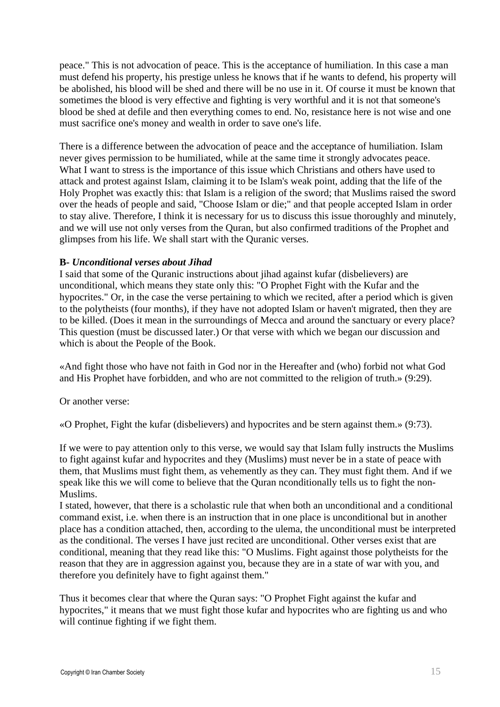peace." This is not advocation of peace. This is the acceptance of humiliation. In this case a man must defend his property, his prestige unless he knows that if he wants to defend, his property will be abolished, his blood will be shed and there will be no use in it. Of course it must be known that sometimes the blood is very effective and fighting is very worthful and it is not that someone's blood be shed at defile and then everything comes to end. No, resistance here is not wise and one must sacrifice one's money and wealth in order to save one's life.

There is a difference between the advocation of peace and the acceptance of humiliation. Islam never gives permission to be humiliated, while at the same time it strongly advocates peace. What I want to stress is the importance of this issue which Christians and others have used to attack and protest against Islam, claiming it to be Islam's weak point, adding that the life of the Holy Prophet was exactly this: that Islam is a religion of the sword; that Muslims raised the sword over the heads of people and said, "Choose Islam or die;" and that people accepted Islam in order to stay alive. Therefore, I think it is necessary for us to discuss this issue thoroughly and minutely, and we will use not only verses from the Quran, but also confirmed traditions of the Prophet and glimpses from his life. We shall start with the Quranic verses.

#### **B-** *Unconditional verses about Jihad*

I said that some of the Quranic instructions about jihad against kufar (disbelievers) are unconditional, which means they state only this: "O Prophet Fight with the Kufar and the hypocrites." Or, in the case the verse pertaining to which we recited, after a period which is given to the polytheists (four months), if they have not adopted Islam or haven't migrated, then they are to be killed. (Does it mean in the surroundings of Mecca and around the sanctuary or every place? This question (must be discussed later.) Or that verse with which we began our discussion and which is about the People of the Book.

«And fight those who have not faith in God nor in the Hereafter and (who) forbid not what God and His Prophet have forbidden, and who are not committed to the religion of truth.» (9:29).

Or another verse:

«O Prophet, Fight the kufar (disbelievers) and hypocrites and be stern against them.» (9:73).

If we were to pay attention only to this verse, we would say that Islam fully instructs the Muslims to fight against kufar and hypocrites and they (Muslims) must never be in a state of peace with them, that Muslims must fight them, as vehemently as they can. They must fight them. And if we speak like this we will come to believe that the Quran nconditionally tells us to fight the non-Muslims.

I stated, however, that there is a scholastic rule that when both an unconditional and a conditional command exist, i.e. when there is an instruction that in one place is unconditional but in another place has a condition attached, then, according to the ulema, the unconditional must be interpreted as the conditional. The verses I have just recited are unconditional. Other verses exist that are conditional, meaning that they read like this: "O Muslims. Fight against those polytheists for the reason that they are in aggression against you, because they are in a state of war with you, and therefore you definitely have to fight against them."

Thus it becomes clear that where the Quran says: "O Prophet Fight against the kufar and hypocrites," it means that we must fight those kufar and hypocrites who are fighting us and who will continue fighting if we fight them.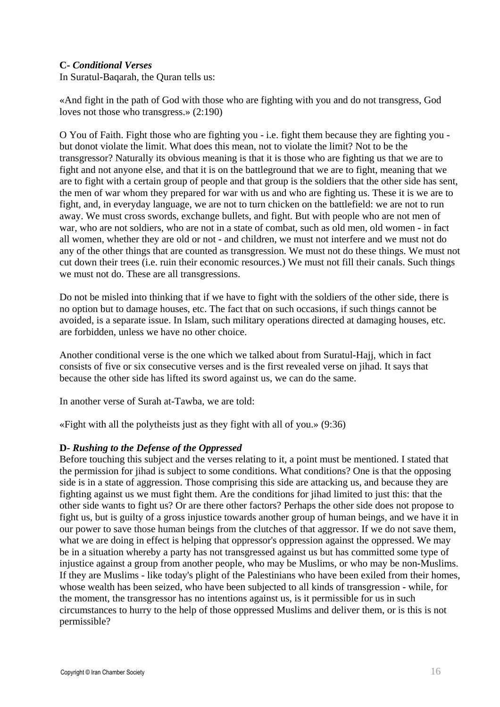#### **C-** *Conditional Verses*

In Suratul-Baqarah, the Quran tells us:

«And fight in the path of God with those who are fighting with you and do not transgress, God loves not those who transgress.» (2:190)

O You of Faith. Fight those who are fighting you - i.e. fight them because they are fighting you but donot violate the limit. What does this mean, not to violate the limit? Not to be the transgressor? Naturally its obvious meaning is that it is those who are fighting us that we are to fight and not anyone else, and that it is on the battleground that we are to fight, meaning that we are to fight with a certain group of people and that group is the soldiers that the other side has sent, the men of war whom they prepared for war with us and who are fighting us. These it is we are to fight, and, in everyday language, we are not to turn chicken on the battlefield: we are not to run away. We must cross swords, exchange bullets, and fight. But with people who are not men of war, who are not soldiers, who are not in a state of combat, such as old men, old women - in fact all women, whether they are old or not - and children, we must not interfere and we must not do any of the other things that are counted as transgression. We must not do these things. We must not cut down their trees (i.e. ruin their economic resources.) We must not fill their canals. Such things we must not do. These are all transgressions.

Do not be misled into thinking that if we have to fight with the soldiers of the other side, there is no option but to damage houses, etc. The fact that on such occasions, if such things cannot be avoided, is a separate issue. In Islam, such military operations directed at damaging houses, etc. are forbidden, unless we have no other choice.

Another conditional verse is the one which we talked about from Suratul-Hajj, which in fact consists of five or six consecutive verses and is the first revealed verse on jihad. It says that because the other side has lifted its sword against us, we can do the same.

In another verse of Surah at-Tawba, we are told:

«Fight with all the polytheists just as they fight with all of you.» (9:36)

#### **D-** *Rushing to the Defense of the Oppressed*

Before touching this subject and the verses relating to it, a point must be mentioned. I stated that the permission for jihad is subject to some conditions. What conditions? One is that the opposing side is in a state of aggression. Those comprising this side are attacking us, and because they are fighting against us we must fight them. Are the conditions for jihad limited to just this: that the other side wants to fight us? Or are there other factors? Perhaps the other side does not propose to fight us, but is guilty of a gross injustice towards another group of human beings, and we have it in our power to save those human beings from the clutches of that aggressor. If we do not save them, what we are doing in effect is helping that oppressor's oppression against the oppressed. We may be in a situation whereby a party has not transgressed against us but has committed some type of injustice against a group from another people, who may be Muslims, or who may be non-Muslims. If they are Muslims - like today's plight of the Palestinians who have been exiled from their homes, whose wealth has been seized, who have been subjected to all kinds of transgression - while, for the moment, the transgressor has no intentions against us, is it permissible for us in such circumstances to hurry to the help of those oppressed Muslims and deliver them, or is this is not permissible?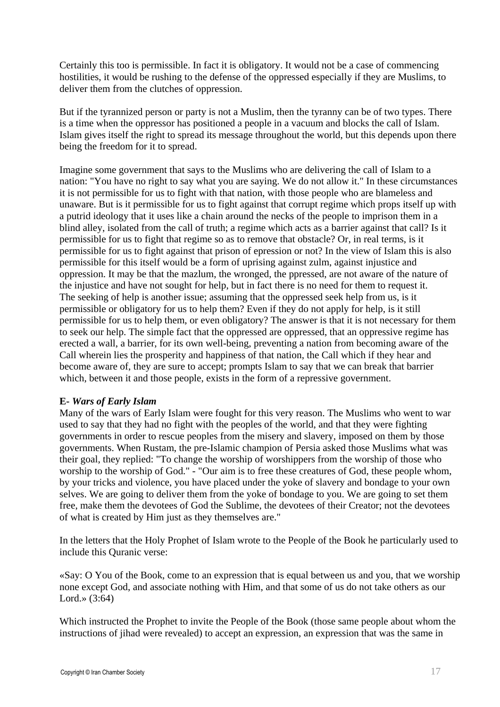Certainly this too is permissible. In fact it is obligatory. It would not be a case of commencing hostilities, it would be rushing to the defense of the oppressed especially if they are Muslims, to deliver them from the clutches of oppression.

But if the tyrannized person or party is not a Muslim, then the tyranny can be of two types. There is a time when the oppressor has positioned a people in a vacuum and blocks the call of Islam. Islam gives itself the right to spread its message throughout the world, but this depends upon there being the freedom for it to spread.

Imagine some government that says to the Muslims who are delivering the call of Islam to a nation: "You have no right to say what you are saying. We do not allow it." In these circumstances it is not permissible for us to fight with that nation, with those people who are blameless and unaware. But is it permissible for us to fight against that corrupt regime which props itself up with a putrid ideology that it uses like a chain around the necks of the people to imprison them in a blind alley, isolated from the call of truth; a regime which acts as a barrier against that call? Is it permissible for us to fight that regime so as to remove that obstacle? Or, in real terms, is it permissible for us to fight against that prison of epression or not? In the view of Islam this is also permissible for this itself would be a form of uprising against zulm, against injustice and oppression. It may be that the mazlum, the wronged, the ppressed, are not aware of the nature of the injustice and have not sought for help, but in fact there is no need for them to request it. The seeking of help is another issue; assuming that the oppressed seek help from us, is it permissible or obligatory for us to help them? Even if they do not apply for help, is it still permissible for us to help them, or even obligatory? The answer is that it is not necessary for them to seek our help. The simple fact that the oppressed are oppressed, that an oppressive regime has erected a wall, a barrier, for its own well-being, preventing a nation from becoming aware of the Call wherein lies the prosperity and happiness of that nation, the Call which if they hear and become aware of, they are sure to accept; prompts Islam to say that we can break that barrier which, between it and those people, exists in the form of a repressive government.

#### **E-** *Wars of Early Islam*

Many of the wars of Early Islam were fought for this very reason. The Muslims who went to war used to say that they had no fight with the peoples of the world, and that they were fighting governments in order to rescue peoples from the misery and slavery, imposed on them by those governments. When Rustam, the pre-Islamic champion of Persia asked those Muslims what was their goal, they replied: "To change the worship of worshippers from the worship of those who worship to the worship of God." - "Our aim is to free these creatures of God, these people whom, by your tricks and violence, you have placed under the yoke of slavery and bondage to your own selves. We are going to deliver them from the yoke of bondage to you. We are going to set them free, make them the devotees of God the Sublime, the devotees of their Creator; not the devotees of what is created by Him just as they themselves are."

In the letters that the Holy Prophet of Islam wrote to the People of the Book he particularly used to include this Quranic verse:

«Say: O You of the Book, come to an expression that is equal between us and you, that we worship none except God, and associate nothing with Him, and that some of us do not take others as our Lord.» (3:64)

Which instructed the Prophet to invite the People of the Book (those same people about whom the instructions of jihad were revealed) to accept an expression, an expression that was the same in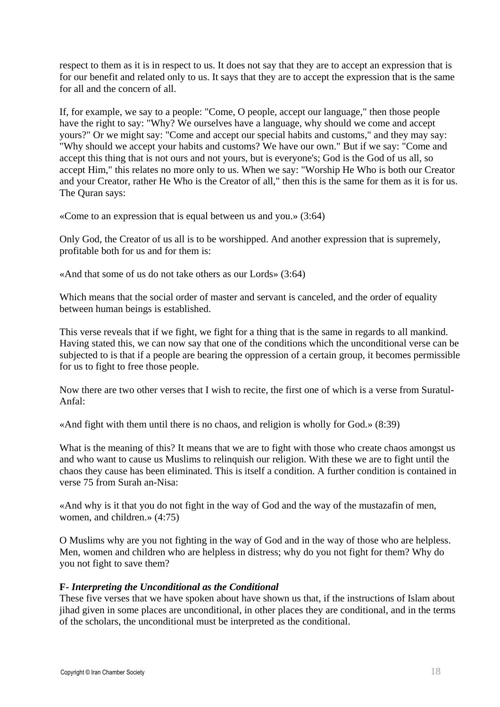respect to them as it is in respect to us. It does not say that they are to accept an expression that is for our benefit and related only to us. It says that they are to accept the expression that is the same for all and the concern of all.

If, for example, we say to a people: "Come, O people, accept our language," then those people have the right to say: "Why? We ourselves have a language, why should we come and accept yours?" Or we might say: "Come and accept our special habits and customs," and they may say: "Why should we accept your habits and customs? We have our own." But if we say: "Come and accept this thing that is not ours and not yours, but is everyone's; God is the God of us all, so accept Him," this relates no more only to us. When we say: "Worship He Who is both our Creator and your Creator, rather He Who is the Creator of all," then this is the same for them as it is for us. The Quran says:

«Come to an expression that is equal between us and you.» (3:64)

Only God, the Creator of us all is to be worshipped. And another expression that is supremely, profitable both for us and for them is:

«And that some of us do not take others as our Lords» (3:64)

Which means that the social order of master and servant is canceled, and the order of equality between human beings is established.

This verse reveals that if we fight, we fight for a thing that is the same in regards to all mankind. Having stated this, we can now say that one of the conditions which the unconditional verse can be subjected to is that if a people are bearing the oppression of a certain group, it becomes permissible for us to fight to free those people.

Now there are two other verses that I wish to recite, the first one of which is a verse from Suratul-Anfal:

«And fight with them until there is no chaos, and religion is wholly for God.» (8:39)

What is the meaning of this? It means that we are to fight with those who create chaos amongst us and who want to cause us Muslims to relinquish our religion. With these we are to fight until the chaos they cause has been eliminated. This is itself a condition. A further condition is contained in verse 75 from Surah an-Nisa:

«And why is it that you do not fight in the way of God and the way of the mustazafin of men, women, and children.» (4:75)

O Muslims why are you not fighting in the way of God and in the way of those who are helpless. Men, women and children who are helpless in distress; why do you not fight for them? Why do you not fight to save them?

#### **F-** *Interpreting the Unconditional as the Conditional*

These five verses that we have spoken about have shown us that, if the instructions of Islam about jihad given in some places are unconditional, in other places they are conditional, and in the terms of the scholars, the unconditional must be interpreted as the conditional.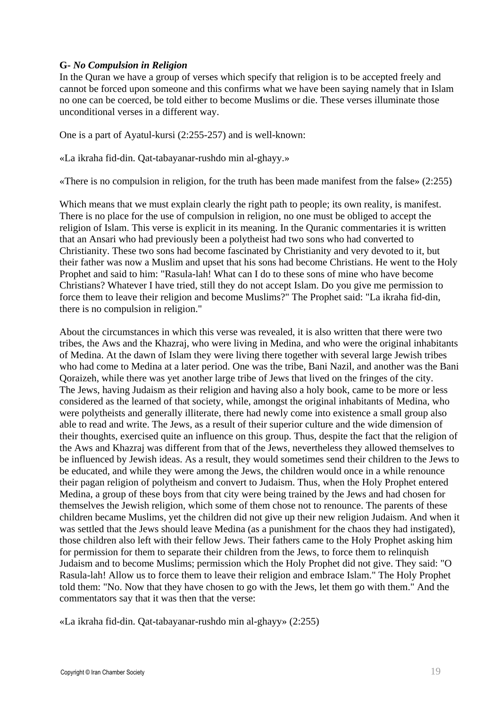#### **G-** *No Compulsion in Religion*

In the Quran we have a group of verses which specify that religion is to be accepted freely and cannot be forced upon someone and this confirms what we have been saying namely that in Islam no one can be coerced, be told either to become Muslims or die. These verses illuminate those unconditional verses in a different way.

One is a part of Ayatul-kursi (2:255-257) and is well-known:

«La ikraha fid-din. Qat-tabayanar-rushdo min al-ghayy.»

«There is no compulsion in religion, for the truth has been made manifest from the false» (2:255)

Which means that we must explain clearly the right path to people; its own reality, is manifest. There is no place for the use of compulsion in religion, no one must be obliged to accept the religion of Islam. This verse is explicit in its meaning. In the Quranic commentaries it is written that an Ansari who had previously been a polytheist had two sons who had converted to Christianity. These two sons had become fascinated by Christianity and very devoted to it, but their father was now a Muslim and upset that his sons had become Christians. He went to the Holy Prophet and said to him: "Rasula-lah! What can I do to these sons of mine who have become Christians? Whatever I have tried, still they do not accept Islam. Do you give me permission to force them to leave their religion and become Muslims?" The Prophet said: "La ikraha fid-din, there is no compulsion in religion."

About the circumstances in which this verse was revealed, it is also written that there were two tribes, the Aws and the Khazraj, who were living in Medina, and who were the original inhabitants of Medina. At the dawn of Islam they were living there together with several large Jewish tribes who had come to Medina at a later period. One was the tribe, Bani Nazil, and another was the Bani Qoraizeh, while there was yet another large tribe of Jews that lived on the fringes of the city. The Jews, having Judaism as their religion and having also a holy book, came to be more or less considered as the learned of that society, while, amongst the original inhabitants of Medina, who were polytheists and generally illiterate, there had newly come into existence a small group also able to read and write. The Jews, as a result of their superior culture and the wide dimension of their thoughts, exercised quite an influence on this group. Thus, despite the fact that the religion of the Aws and Khazraj was different from that of the Jews, nevertheless they allowed themselves to be influenced by Jewish ideas. As a result, they would sometimes send their children to the Jews to be educated, and while they were among the Jews, the children would once in a while renounce their pagan religion of polytheism and convert to Judaism. Thus, when the Holy Prophet entered Medina, a group of these boys from that city were being trained by the Jews and had chosen for themselves the Jewish religion, which some of them chose not to renounce. The parents of these children became Muslims, yet the children did not give up their new religion Judaism. And when it was settled that the Jews should leave Medina (as a punishment for the chaos they had instigated), those children also left with their fellow Jews. Their fathers came to the Holy Prophet asking him for permission for them to separate their children from the Jews, to force them to relinquish Judaism and to become Muslims; permission which the Holy Prophet did not give. They said: "O Rasula-lah! Allow us to force them to leave their religion and embrace Islam." The Holy Prophet told them: "No. Now that they have chosen to go with the Jews, let them go with them." And the commentators say that it was then that the verse:

«La ikraha fid-din. Qat-tabayanar-rushdo min al-ghayy» (2:255)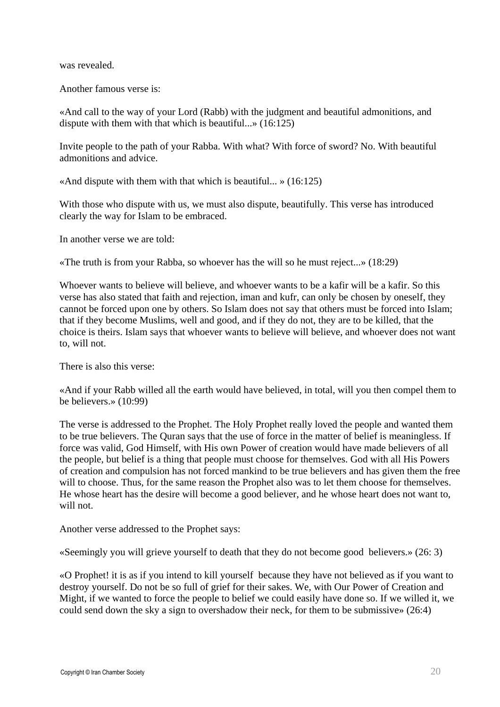was revealed.

Another famous verse is:

«And call to the way of your Lord (Rabb) with the judgment and beautiful admonitions, and dispute with them with that which is beautiful...» (16:125)

Invite people to the path of your Rabba. With what? With force of sword? No. With beautiful admonitions and advice.

«And dispute with them with that which is beautiful... »  $(16:125)$ 

With those who dispute with us, we must also dispute, beautifully. This verse has introduced clearly the way for Islam to be embraced.

In another verse we are told:

«The truth is from your Rabba, so whoever has the will so he must reject...» (18:29)

Whoever wants to believe will believe, and whoever wants to be a kafir will be a kafir. So this verse has also stated that faith and rejection, iman and kufr, can only be chosen by oneself, they cannot be forced upon one by others. So Islam does not say that others must be forced into Islam; that if they become Muslims, well and good, and if they do not, they are to be killed, that the choice is theirs. Islam says that whoever wants to believe will believe, and whoever does not want to, will not.

There is also this verse:

«And if your Rabb willed all the earth would have believed, in total, will you then compel them to be believers.» (10:99)

The verse is addressed to the Prophet. The Holy Prophet really loved the people and wanted them to be true believers. The Quran says that the use of force in the matter of belief is meaningless. If force was valid, God Himself, with His own Power of creation would have made believers of all the people, but belief is a thing that people must choose for themselves. God with all His Powers of creation and compulsion has not forced mankind to be true believers and has given them the free will to choose. Thus, for the same reason the Prophet also was to let them choose for themselves. He whose heart has the desire will become a good believer, and he whose heart does not want to, will not.

Another verse addressed to the Prophet says:

«Seemingly you will grieve yourself to death that they do not become good believers.» (26: 3)

«O Prophet! it is as if you intend to kill yourself because they have not believed as if you want to destroy yourself. Do not be so full of grief for their sakes. We, with Our Power of Creation and Might, if we wanted to force the people to belief we could easily have done so. If we willed it, we could send down the sky a sign to overshadow their neck, for them to be submissive» (26:4)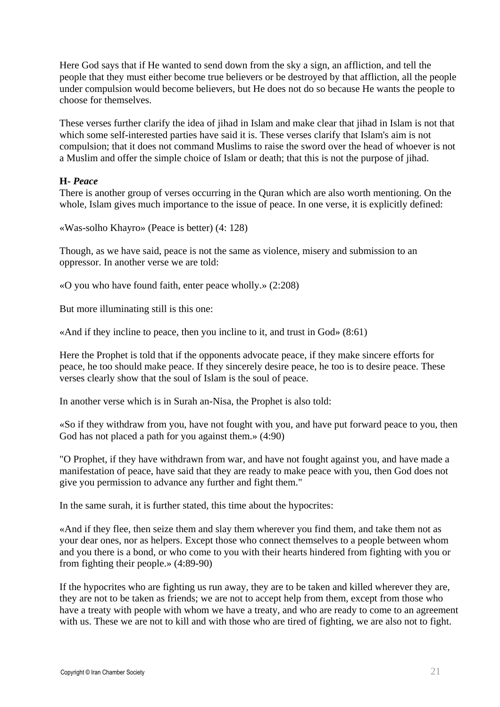Here God says that if He wanted to send down from the sky a sign, an affliction, and tell the people that they must either become true believers or be destroyed by that affliction, all the people under compulsion would become believers, but He does not do so because He wants the people to choose for themselves.

These verses further clarify the idea of jihad in Islam and make clear that jihad in Islam is not that which some self-interested parties have said it is. These verses clarify that Islam's aim is not compulsion; that it does not command Muslims to raise the sword over the head of whoever is not a Muslim and offer the simple choice of Islam or death; that this is not the purpose of jihad.

#### **H-** *Peace*

There is another group of verses occurring in the Quran which are also worth mentioning. On the whole, Islam gives much importance to the issue of peace. In one verse, it is explicitly defined:

«Was-solho Khayro» (Peace is better) (4: 128)

Though, as we have said, peace is not the same as violence, misery and submission to an oppressor. In another verse we are told:

«O you who have found faith, enter peace wholly.» (2:208)

But more illuminating still is this one:

«And if they incline to peace, then you incline to it, and trust in God» (8:61)

Here the Prophet is told that if the opponents advocate peace, if they make sincere efforts for peace, he too should make peace. If they sincerely desire peace, he too is to desire peace. These verses clearly show that the soul of Islam is the soul of peace.

In another verse which is in Surah an-Nisa, the Prophet is also told:

«So if they withdraw from you, have not fought with you, and have put forward peace to you, then God has not placed a path for you against them.» (4:90)

"O Prophet, if they have withdrawn from war, and have not fought against you, and have made a manifestation of peace, have said that they are ready to make peace with you, then God does not give you permission to advance any further and fight them."

In the same surah, it is further stated, this time about the hypocrites:

«And if they flee, then seize them and slay them wherever you find them, and take them not as your dear ones, nor as helpers. Except those who connect themselves to a people between whom and you there is a bond, or who come to you with their hearts hindered from fighting with you or from fighting their people.» (4:89-90)

If the hypocrites who are fighting us run away, they are to be taken and killed wherever they are, they are not to be taken as friends; we are not to accept help from them, except from those who have a treaty with people with whom we have a treaty, and who are ready to come to an agreement with us. These we are not to kill and with those who are tired of fighting, we are also not to fight.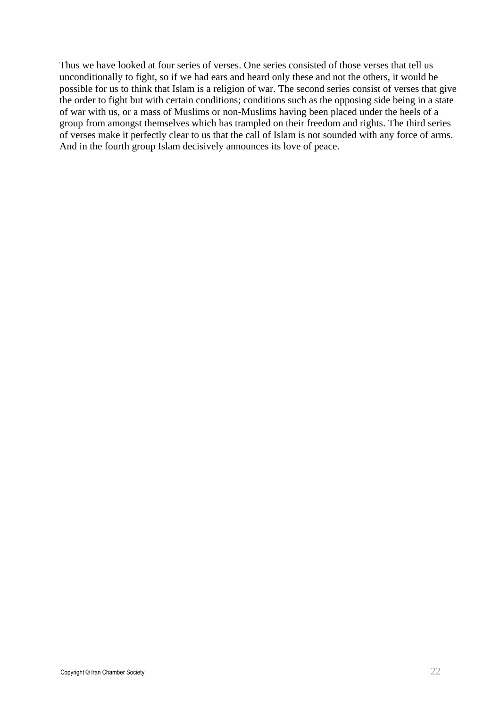Thus we have looked at four series of verses. One series consisted of those verses that tell us unconditionally to fight, so if we had ears and heard only these and not the others, it would be possible for us to think that Islam is a religion of war. The second series consist of verses that give the order to fight but with certain conditions; conditions such as the opposing side being in a state of war with us, or a mass of Muslims or non-Muslims having been placed under the heels of a group from amongst themselves which has trampled on their freedom and rights. The third series of verses make it perfectly clear to us that the call of Islam is not sounded with any force of arms. And in the fourth group Islam decisively announces its love of peace.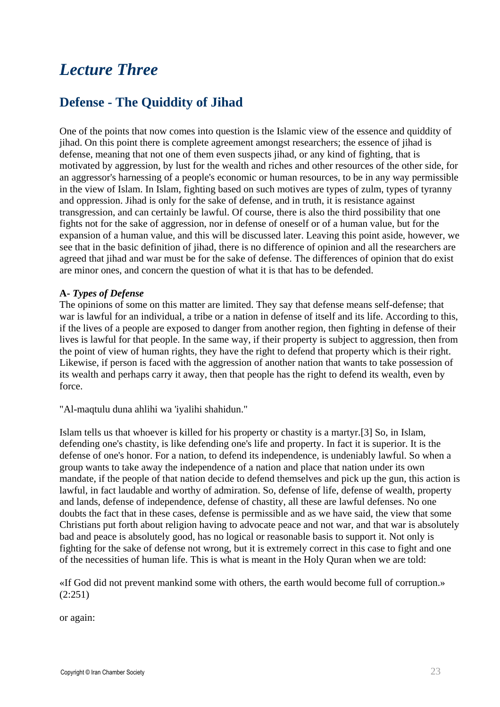# *Lecture Three*

### **Defense - The Quiddity of Jihad**

One of the points that now comes into question is the Islamic view of the essence and quiddity of jihad. On this point there is complete agreement amongst researchers; the essence of jihad is defense, meaning that not one of them even suspects jihad, or any kind of fighting, that is motivated by aggression, by lust for the wealth and riches and other resources of the other side, for an aggressor's harnessing of a people's economic or human resources, to be in any way permissible in the view of Islam. In Islam, fighting based on such motives are types of zulm, types of tyranny and oppression. Jihad is only for the sake of defense, and in truth, it is resistance against transgression, and can certainly be lawful. Of course, there is also the third possibility that one fights not for the sake of aggression, nor in defense of oneself or of a human value, but for the expansion of a human value, and this will be discussed later. Leaving this point aside, however, we see that in the basic definition of jihad, there is no difference of opinion and all the researchers are agreed that jihad and war must be for the sake of defense. The differences of opinion that do exist are minor ones, and concern the question of what it is that has to be defended.

#### **A-** *Types of Defense*

The opinions of some on this matter are limited. They say that defense means self-defense; that war is lawful for an individual, a tribe or a nation in defense of itself and its life. According to this, if the lives of a people are exposed to danger from another region, then fighting in defense of their lives is lawful for that people. In the same way, if their property is subject to aggression, then from the point of view of human rights, they have the right to defend that property which is their right. Likewise, if person is faced with the aggression of another nation that wants to take possession of its wealth and perhaps carry it away, then that people has the right to defend its wealth, even by force.

"Al-maqtulu duna ahlihi wa 'iyalihi shahidun."

Islam tells us that whoever is killed for his property or chastity is a martyr.[3] So, in Islam, defending one's chastity, is like defending one's life and property. In fact it is superior. It is the defense of one's honor. For a nation, to defend its independence, is undeniably lawful. So when a group wants to take away the independence of a nation and place that nation under its own mandate, if the people of that nation decide to defend themselves and pick up the gun, this action is lawful, in fact laudable and worthy of admiration. So, defense of life, defense of wealth, property and lands, defense of independence, defense of chastity, all these are lawful defenses. No one doubts the fact that in these cases, defense is permissible and as we have said, the view that some Christians put forth about religion having to advocate peace and not war, and that war is absolutely bad and peace is absolutely good, has no logical or reasonable basis to support it. Not only is fighting for the sake of defense not wrong, but it is extremely correct in this case to fight and one of the necessities of human life. This is what is meant in the Holy Quran when we are told:

«If God did not prevent mankind some with others, the earth would become full of corruption.» (2:251)

or again: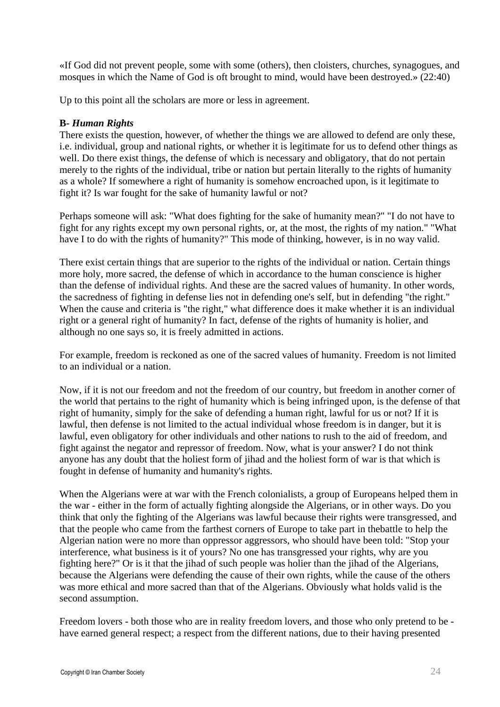«If God did not prevent people, some with some (others), then cloisters, churches, synagogues, and mosques in which the Name of God is oft brought to mind, would have been destroyed.» (22:40)

Up to this point all the scholars are more or less in agreement.

#### **B-** *Human Rights*

There exists the question, however, of whether the things we are allowed to defend are only these, i.e. individual, group and national rights, or whether it is legitimate for us to defend other things as well. Do there exist things, the defense of which is necessary and obligatory, that do not pertain merely to the rights of the individual, tribe or nation but pertain literally to the rights of humanity as a whole? If somewhere a right of humanity is somehow encroached upon, is it legitimate to fight it? Is war fought for the sake of humanity lawful or not?

Perhaps someone will ask: "What does fighting for the sake of humanity mean?" "I do not have to fight for any rights except my own personal rights, or, at the most, the rights of my nation." "What have I to do with the rights of humanity?" This mode of thinking, however, is in no way valid.

There exist certain things that are superior to the rights of the individual or nation. Certain things more holy, more sacred, the defense of which in accordance to the human conscience is higher than the defense of individual rights. And these are the sacred values of humanity. In other words, the sacredness of fighting in defense lies not in defending one's self, but in defending "the right." When the cause and criteria is "the right," what difference does it make whether it is an individual right or a general right of humanity? In fact, defense of the rights of humanity is holier, and although no one says so, it is freely admitted in actions.

For example, freedom is reckoned as one of the sacred values of humanity. Freedom is not limited to an individual or a nation.

Now, if it is not our freedom and not the freedom of our country, but freedom in another corner of the world that pertains to the right of humanity which is being infringed upon, is the defense of that right of humanity, simply for the sake of defending a human right, lawful for us or not? If it is lawful, then defense is not limited to the actual individual whose freedom is in danger, but it is lawful, even obligatory for other individuals and other nations to rush to the aid of freedom, and fight against the negator and repressor of freedom. Now, what is your answer? I do not think anyone has any doubt that the holiest form of jihad and the holiest form of war is that which is fought in defense of humanity and humanity's rights.

When the Algerians were at war with the French colonialists, a group of Europeans helped them in the war - either in the form of actually fighting alongside the Algerians, or in other ways. Do you think that only the fighting of the Algerians was lawful because their rights were transgressed, and that the people who came from the farthest corners of Europe to take part in thebattle to help the Algerian nation were no more than oppressor aggressors, who should have been told: "Stop your interference, what business is it of yours? No one has transgressed your rights, why are you fighting here?" Or is it that the jihad of such people was holier than the jihad of the Algerians, because the Algerians were defending the cause of their own rights, while the cause of the others was more ethical and more sacred than that of the Algerians. Obviously what holds valid is the second assumption.

Freedom lovers - both those who are in reality freedom lovers, and those who only pretend to be have earned general respect; a respect from the different nations, due to their having presented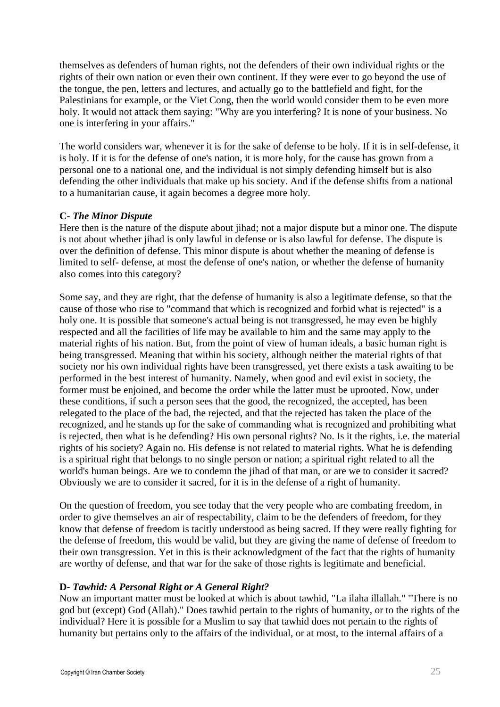themselves as defenders of human rights, not the defenders of their own individual rights or the rights of their own nation or even their own continent. If they were ever to go beyond the use of the tongue, the pen, letters and lectures, and actually go to the battlefield and fight, for the Palestinians for example, or the Viet Cong, then the world would consider them to be even more holy. It would not attack them saying: "Why are you interfering? It is none of your business. No one is interfering in your affairs."

The world considers war, whenever it is for the sake of defense to be holy. If it is in self-defense, it is holy. If it is for the defense of one's nation, it is more holy, for the cause has grown from a personal one to a national one, and the individual is not simply defending himself but is also defending the other individuals that make up his society. And if the defense shifts from a national to a humanitarian cause, it again becomes a degree more holy.

#### **C-** *The Minor Dispute*

Here then is the nature of the dispute about jihad; not a major dispute but a minor one. The dispute is not about whether jihad is only lawful in defense or is also lawful for defense. The dispute is over the definition of defense. This minor dispute is about whether the meaning of defense is limited to self- defense, at most the defense of one's nation, or whether the defense of humanity also comes into this category?

Some say, and they are right, that the defense of humanity is also a legitimate defense, so that the cause of those who rise to "command that which is recognized and forbid what is rejected" is a holy one. It is possible that someone's actual being is not transgressed, he may even be highly respected and all the facilities of life may be available to him and the same may apply to the material rights of his nation. But, from the point of view of human ideals, a basic human right is being transgressed. Meaning that within his society, although neither the material rights of that society nor his own individual rights have been transgressed, yet there exists a task awaiting to be performed in the best interest of humanity. Namely, when good and evil exist in society, the former must be enjoined, and become the order while the latter must be uprooted. Now, under these conditions, if such a person sees that the good, the recognized, the accepted, has been relegated to the place of the bad, the rejected, and that the rejected has taken the place of the recognized, and he stands up for the sake of commanding what is recognized and prohibiting what is rejected, then what is he defending? His own personal rights? No. Is it the rights, i.e. the material rights of his society? Again no. His defense is not related to material rights. What he is defending is a spiritual right that belongs to no single person or nation; a spiritual right related to all the world's human beings. Are we to condemn the jihad of that man, or are we to consider it sacred? Obviously we are to consider it sacred, for it is in the defense of a right of humanity.

On the question of freedom, you see today that the very people who are combating freedom, in order to give themselves an air of respectability, claim to be the defenders of freedom, for they know that defense of freedom is tacitly understood as being sacred. If they were really fighting for the defense of freedom, this would be valid, but they are giving the name of defense of freedom to their own transgression. Yet in this is their acknowledgment of the fact that the rights of humanity are worthy of defense, and that war for the sake of those rights is legitimate and beneficial.

#### **D-** *Tawhid: A Personal Right or A General Right?*

Now an important matter must be looked at which is about tawhid, "La ilaha illallah." "There is no god but (except) God (Allah)." Does tawhid pertain to the rights of humanity, or to the rights of the individual? Here it is possible for a Muslim to say that tawhid does not pertain to the rights of humanity but pertains only to the affairs of the individual, or at most, to the internal affairs of a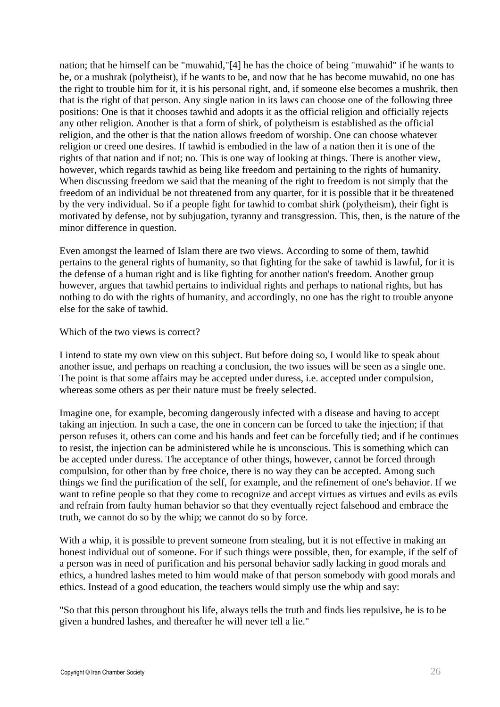nation; that he himself can be "muwahid,"[4] he has the choice of being "muwahid" if he wants to be, or a mushrak (polytheist), if he wants to be, and now that he has become muwahid, no one has the right to trouble him for it, it is his personal right, and, if someone else becomes a mushrik, then that is the right of that person. Any single nation in its laws can choose one of the following three positions: One is that it chooses tawhid and adopts it as the official religion and officially rejects any other religion. Another is that a form of shirk, of polytheism is established as the official religion, and the other is that the nation allows freedom of worship. One can choose whatever religion or creed one desires. If tawhid is embodied in the law of a nation then it is one of the rights of that nation and if not; no. This is one way of looking at things. There is another view, however, which regards tawhid as being like freedom and pertaining to the rights of humanity. When discussing freedom we said that the meaning of the right to freedom is not simply that the freedom of an individual be not threatened from any quarter, for it is possible that it be threatened by the very individual. So if a people fight for tawhid to combat shirk (polytheism), their fight is motivated by defense, not by subjugation, tyranny and transgression. This, then, is the nature of the minor difference in question.

Even amongst the learned of Islam there are two views. According to some of them, tawhid pertains to the general rights of humanity, so that fighting for the sake of tawhid is lawful, for it is the defense of a human right and is like fighting for another nation's freedom. Another group however, argues that tawhid pertains to individual rights and perhaps to national rights, but has nothing to do with the rights of humanity, and accordingly, no one has the right to trouble anyone else for the sake of tawhid.

#### Which of the two views is correct?

I intend to state my own view on this subject. But before doing so, I would like to speak about another issue, and perhaps on reaching a conclusion, the two issues will be seen as a single one. The point is that some affairs may be accepted under duress, i.e. accepted under compulsion, whereas some others as per their nature must be freely selected.

Imagine one, for example, becoming dangerously infected with a disease and having to accept taking an injection. In such a case, the one in concern can be forced to take the injection; if that person refuses it, others can come and his hands and feet can be forcefully tied; and if he continues to resist, the injection can be administered while he is unconscious. This is something which can be accepted under duress. The acceptance of other things, however, cannot be forced through compulsion, for other than by free choice, there is no way they can be accepted. Among such things we find the purification of the self, for example, and the refinement of one's behavior. If we want to refine people so that they come to recognize and accept virtues as virtues and evils as evils and refrain from faulty human behavior so that they eventually reject falsehood and embrace the truth, we cannot do so by the whip; we cannot do so by force.

With a whip, it is possible to prevent someone from stealing, but it is not effective in making an honest individual out of someone. For if such things were possible, then, for example, if the self of a person was in need of purification and his personal behavior sadly lacking in good morals and ethics, a hundred lashes meted to him would make of that person somebody with good morals and ethics. Instead of a good education, the teachers would simply use the whip and say:

"So that this person throughout his life, always tells the truth and finds lies repulsive, he is to be given a hundred lashes, and thereafter he will never tell a lie."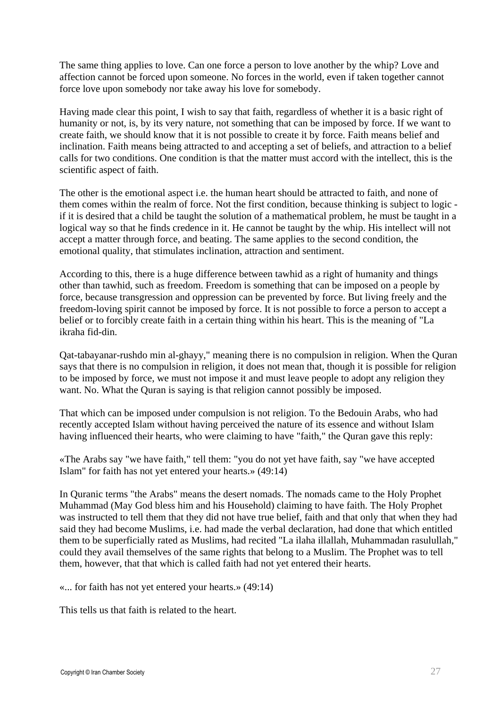The same thing applies to love. Can one force a person to love another by the whip? Love and affection cannot be forced upon someone. No forces in the world, even if taken together cannot force love upon somebody nor take away his love for somebody.

Having made clear this point, I wish to say that faith, regardless of whether it is a basic right of humanity or not, is, by its very nature, not something that can be imposed by force. If we want to create faith, we should know that it is not possible to create it by force. Faith means belief and inclination. Faith means being attracted to and accepting a set of beliefs, and attraction to a belief calls for two conditions. One condition is that the matter must accord with the intellect, this is the scientific aspect of faith.

The other is the emotional aspect i.e. the human heart should be attracted to faith, and none of them comes within the realm of force. Not the first condition, because thinking is subject to logic if it is desired that a child be taught the solution of a mathematical problem, he must be taught in a logical way so that he finds credence in it. He cannot be taught by the whip. His intellect will not accept a matter through force, and beating. The same applies to the second condition, the emotional quality, that stimulates inclination, attraction and sentiment.

According to this, there is a huge difference between tawhid as a right of humanity and things other than tawhid, such as freedom. Freedom is something that can be imposed on a people by force, because transgression and oppression can be prevented by force. But living freely and the freedom-loving spirit cannot be imposed by force. It is not possible to force a person to accept a belief or to forcibly create faith in a certain thing within his heart. This is the meaning of "La ikraha fid-din.

Qat-tabayanar-rushdo min al-ghayy," meaning there is no compulsion in religion. When the Quran says that there is no compulsion in religion, it does not mean that, though it is possible for religion to be imposed by force, we must not impose it and must leave people to adopt any religion they want. No. What the Quran is saying is that religion cannot possibly be imposed.

That which can be imposed under compulsion is not religion. To the Bedouin Arabs, who had recently accepted Islam without having perceived the nature of its essence and without Islam having influenced their hearts, who were claiming to have "faith," the Quran gave this reply:

«The Arabs say "we have faith," tell them: "you do not yet have faith, say "we have accepted Islam" for faith has not yet entered your hearts.» (49:14)

In Quranic terms "the Arabs" means the desert nomads. The nomads came to the Holy Prophet Muhammad (May God bless him and his Household) claiming to have faith. The Holy Prophet was instructed to tell them that they did not have true belief, faith and that only that when they had said they had become Muslims, i.e. had made the verbal declaration, had done that which entitled them to be superficially rated as Muslims, had recited "La ilaha illallah, Muhammadan rasulullah," could they avail themselves of the same rights that belong to a Muslim. The Prophet was to tell them, however, that that which is called faith had not yet entered their hearts.

«... for faith has not yet entered your hearts.» (49:14)

This tells us that faith is related to the heart.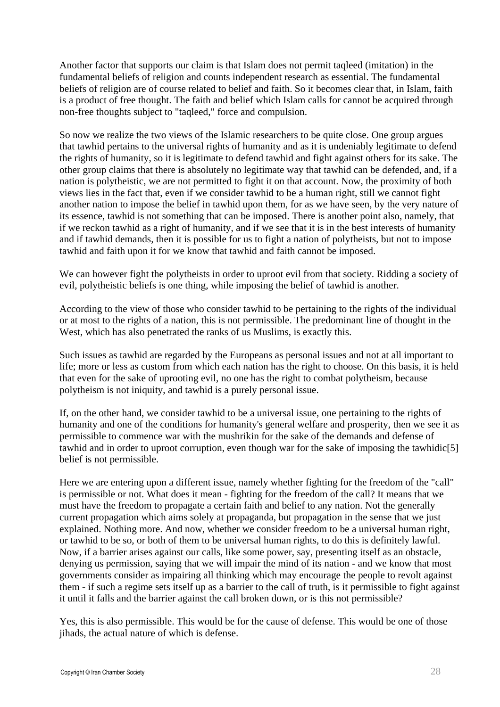Another factor that supports our claim is that Islam does not permit taqleed (imitation) in the fundamental beliefs of religion and counts independent research as essential. The fundamental beliefs of religion are of course related to belief and faith. So it becomes clear that, in Islam, faith is a product of free thought. The faith and belief which Islam calls for cannot be acquired through non-free thoughts subject to "taqleed," force and compulsion.

So now we realize the two views of the Islamic researchers to be quite close. One group argues that tawhid pertains to the universal rights of humanity and as it is undeniably legitimate to defend the rights of humanity, so it is legitimate to defend tawhid and fight against others for its sake. The other group claims that there is absolutely no legitimate way that tawhid can be defended, and, if a nation is polytheistic, we are not permitted to fight it on that account. Now, the proximity of both views lies in the fact that, even if we consider tawhid to be a human right, still we cannot fight another nation to impose the belief in tawhid upon them, for as we have seen, by the very nature of its essence, tawhid is not something that can be imposed. There is another point also, namely, that if we reckon tawhid as a right of humanity, and if we see that it is in the best interests of humanity and if tawhid demands, then it is possible for us to fight a nation of polytheists, but not to impose tawhid and faith upon it for we know that tawhid and faith cannot be imposed.

We can however fight the polytheists in order to uproot evil from that society. Ridding a society of evil, polytheistic beliefs is one thing, while imposing the belief of tawhid is another.

According to the view of those who consider tawhid to be pertaining to the rights of the individual or at most to the rights of a nation, this is not permissible. The predominant line of thought in the West, which has also penetrated the ranks of us Muslims, is exactly this.

Such issues as tawhid are regarded by the Europeans as personal issues and not at all important to life; more or less as custom from which each nation has the right to choose. On this basis, it is held that even for the sake of uprooting evil, no one has the right to combat polytheism, because polytheism is not iniquity, and tawhid is a purely personal issue.

If, on the other hand, we consider tawhid to be a universal issue, one pertaining to the rights of humanity and one of the conditions for humanity's general welfare and prosperity, then we see it as permissible to commence war with the mushrikin for the sake of the demands and defense of tawhid and in order to uproot corruption, even though war for the sake of imposing the tawhidic[5] belief is not permissible.

Here we are entering upon a different issue, namely whether fighting for the freedom of the "call" is permissible or not. What does it mean - fighting for the freedom of the call? It means that we must have the freedom to propagate a certain faith and belief to any nation. Not the generally current propagation which aims solely at propaganda, but propagation in the sense that we just explained. Nothing more. And now, whether we consider freedom to be a universal human right, or tawhid to be so, or both of them to be universal human rights, to do this is definitely lawful. Now, if a barrier arises against our calls, like some power, say, presenting itself as an obstacle, denying us permission, saying that we will impair the mind of its nation - and we know that most governments consider as impairing all thinking which may encourage the people to revolt against them - if such a regime sets itself up as a barrier to the call of truth, is it permissible to fight against it until it falls and the barrier against the call broken down, or is this not permissible?

Yes, this is also permissible. This would be for the cause of defense. This would be one of those jihads, the actual nature of which is defense.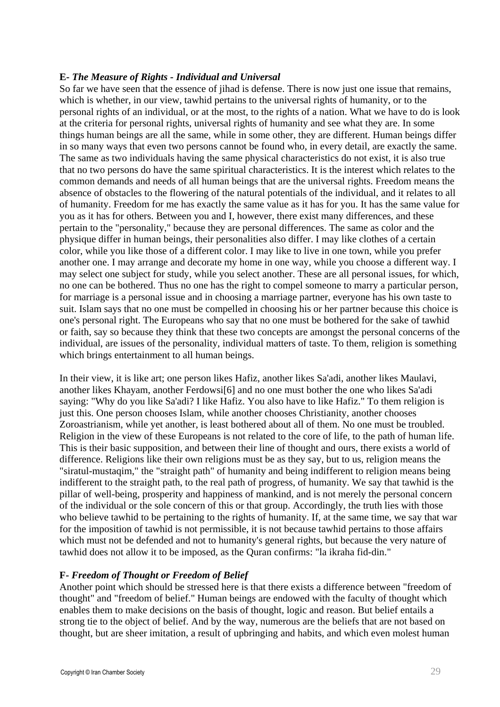#### **E-** *The Measure of Rights - Individual and Universal*

So far we have seen that the essence of jihad is defense. There is now just one issue that remains, which is whether, in our view, tawhid pertains to the universal rights of humanity, or to the personal rights of an individual, or at the most, to the rights of a nation. What we have to do is look at the criteria for personal rights, universal rights of humanity and see what they are. In some things human beings are all the same, while in some other, they are different. Human beings differ in so many ways that even two persons cannot be found who, in every detail, are exactly the same. The same as two individuals having the same physical characteristics do not exist, it is also true that no two persons do have the same spiritual characteristics. It is the interest which relates to the common demands and needs of all human beings that are the universal rights. Freedom means the absence of obstacles to the flowering of the natural potentials of the individual, and it relates to all of humanity. Freedom for me has exactly the same value as it has for you. It has the same value for you as it has for others. Between you and I, however, there exist many differences, and these pertain to the "personality," because they are personal differences. The same as color and the physique differ in human beings, their personalities also differ. I may like clothes of a certain color, while you like those of a different color. I may like to live in one town, while you prefer another one. I may arrange and decorate my home in one way, while you choose a different way. I may select one subject for study, while you select another. These are all personal issues, for which, no one can be bothered. Thus no one has the right to compel someone to marry a particular person, for marriage is a personal issue and in choosing a marriage partner, everyone has his own taste to suit. Islam says that no one must be compelled in choosing his or her partner because this choice is one's personal right. The Europeans who say that no one must be bothered for the sake of tawhid or faith, say so because they think that these two concepts are amongst the personal concerns of the individual, are issues of the personality, individual matters of taste. To them, religion is something which brings entertainment to all human beings.

In their view, it is like art; one person likes Hafiz, another likes Sa'adi, another likes Maulavi, another likes Khayam, another Ferdowsi[6] and no one must bother the one who likes Sa'adi saying: "Why do you like Sa'adi? I like Hafiz. You also have to like Hafiz." To them religion is just this. One person chooses Islam, while another chooses Christianity, another chooses Zoroastrianism, while yet another, is least bothered about all of them. No one must be troubled. Religion in the view of these Europeans is not related to the core of life, to the path of human life. This is their basic supposition, and between their line of thought and ours, there exists a world of difference. Religions like their own religions must be as they say, but to us, religion means the "siratul-mustaqim," the "straight path" of humanity and being indifferent to religion means being indifferent to the straight path, to the real path of progress, of humanity. We say that tawhid is the pillar of well-being, prosperity and happiness of mankind, and is not merely the personal concern of the individual or the sole concern of this or that group. Accordingly, the truth lies with those who believe tawhid to be pertaining to the rights of humanity. If, at the same time, we say that war for the imposition of tawhid is not permissible, it is not because tawhid pertains to those affairs which must not be defended and not to humanity's general rights, but because the very nature of tawhid does not allow it to be imposed, as the Quran confirms: "la ikraha fid-din."

#### **F-** *Freedom of Thought or Freedom of Belief*

Another point which should be stressed here is that there exists a difference between "freedom of thought" and "freedom of belief." Human beings are endowed with the faculty of thought which enables them to make decisions on the basis of thought, logic and reason. But belief entails a strong tie to the object of belief. And by the way, numerous are the beliefs that are not based on thought, but are sheer imitation, a result of upbringing and habits, and which even molest human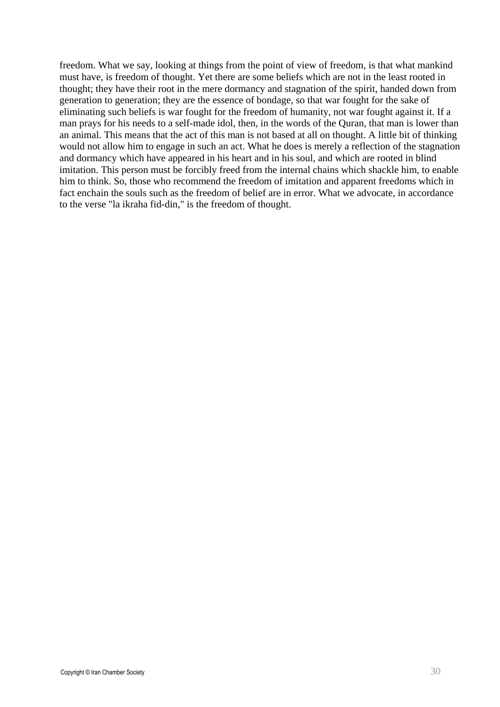freedom. What we say, looking at things from the point of view of freedom, is that what mankind must have, is freedom of thought. Yet there are some beliefs which are not in the least rooted in thought; they have their root in the mere dormancy and stagnation of the spirit, handed down from generation to generation; they are the essence of bondage, so that war fought for the sake of eliminating such beliefs is war fought for the freedom of humanity, not war fought against it. If a man prays for his needs to a self-made idol, then, in the words of the Quran, that man is lower than an animal. This means that the act of this man is not based at all on thought. A little bit of thinking would not allow him to engage in such an act. What he does is merely a reflection of the stagnation and dormancy which have appeared in his heart and in his soul, and which are rooted in blind imitation. This person must be forcibly freed from the internal chains which shackle him, to enable him to think. So, those who recommend the freedom of imitation and apparent freedoms which in fact enchain the souls such as the freedom of belief are in error. What we advocate, in accordance to the verse "la ikraha fid-din," is the freedom of thought.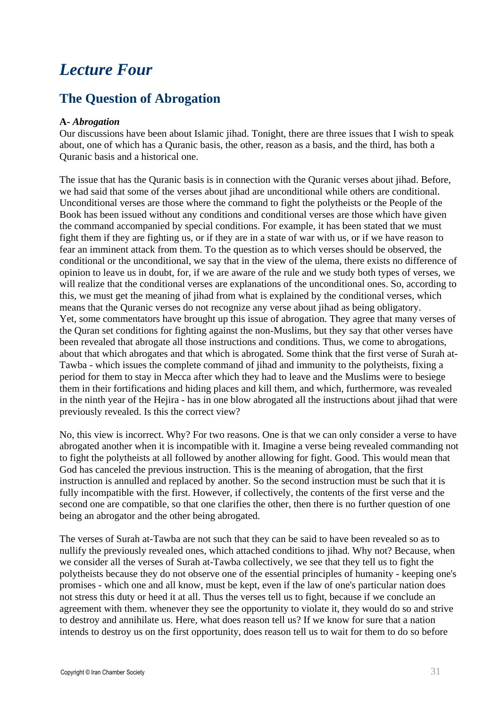# *Lecture Four*

### **The Question of Abrogation**

#### **A-** *Abrogation*

Our discussions have been about Islamic jihad. Tonight, there are three issues that I wish to speak about, one of which has a Quranic basis, the other, reason as a basis, and the third, has both a Quranic basis and a historical one.

The issue that has the Quranic basis is in connection with the Quranic verses about jihad. Before, we had said that some of the verses about jihad are unconditional while others are conditional. Unconditional verses are those where the command to fight the polytheists or the People of the Book has been issued without any conditions and conditional verses are those which have given the command accompanied by special conditions. For example, it has been stated that we must fight them if they are fighting us, or if they are in a state of war with us, or if we have reason to fear an imminent attack from them. To the question as to which verses should be observed, the conditional or the unconditional, we say that in the view of the ulema, there exists no difference of opinion to leave us in doubt, for, if we are aware of the rule and we study both types of verses, we will realize that the conditional verses are explanations of the unconditional ones. So, according to this, we must get the meaning of jihad from what is explained by the conditional verses, which means that the Quranic verses do not recognize any verse about jihad as being obligatory. Yet, some commentators have brought up this issue of abrogation. They agree that many verses of the Quran set conditions for fighting against the non-Muslims, but they say that other verses have been revealed that abrogate all those instructions and conditions. Thus, we come to abrogations, about that which abrogates and that which is abrogated. Some think that the first verse of Surah at-Tawba - which issues the complete command of jihad and immunity to the polytheists, fixing a period for them to stay in Mecca after which they had to leave and the Muslims were to besiege them in their fortifications and hiding places and kill them, and which, furthermore, was revealed in the ninth year of the Hejira - has in one blow abrogated all the instructions about jihad that were previously revealed. Is this the correct view?

No, this view is incorrect. Why? For two reasons. One is that we can only consider a verse to have abrogated another when it is incompatible with it. Imagine a verse being revealed commanding not to fight the polytheists at all followed by another allowing for fight. Good. This would mean that God has canceled the previous instruction. This is the meaning of abrogation, that the first instruction is annulled and replaced by another. So the second instruction must be such that it is fully incompatible with the first. However, if collectively, the contents of the first verse and the second one are compatible, so that one clarifies the other, then there is no further question of one being an abrogator and the other being abrogated.

The verses of Surah at-Tawba are not such that they can be said to have been revealed so as to nullify the previously revealed ones, which attached conditions to jihad. Why not? Because, when we consider all the verses of Surah at-Tawba collectively, we see that they tell us to fight the polytheists because they do not observe one of the essential principles of humanity - keeping one's promises - which one and all know, must be kept, even if the law of one's particular nation does not stress this duty or heed it at all. Thus the verses tell us to fight, because if we conclude an agreement with them. whenever they see the opportunity to violate it, they would do so and strive to destroy and annihilate us. Here, what does reason tell us? If we know for sure that a nation intends to destroy us on the first opportunity, does reason tell us to wait for them to do so before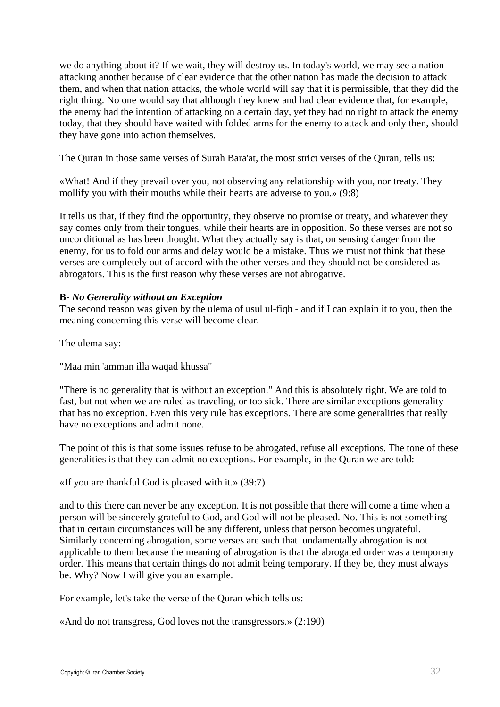we do anything about it? If we wait, they will destroy us. In today's world, we may see a nation attacking another because of clear evidence that the other nation has made the decision to attack them, and when that nation attacks, the whole world will say that it is permissible, that they did the right thing. No one would say that although they knew and had clear evidence that, for example, the enemy had the intention of attacking on a certain day, yet they had no right to attack the enemy today, that they should have waited with folded arms for the enemy to attack and only then, should they have gone into action themselves.

The Quran in those same verses of Surah Bara'at, the most strict verses of the Quran, tells us:

«What! And if they prevail over you, not observing any relationship with you, nor treaty. They mollify you with their mouths while their hearts are adverse to you.» (9:8)

It tells us that, if they find the opportunity, they observe no promise or treaty, and whatever they say comes only from their tongues, while their hearts are in opposition. So these verses are not so unconditional as has been thought. What they actually say is that, on sensing danger from the enemy, for us to fold our arms and delay would be a mistake. Thus we must not think that these verses are completely out of accord with the other verses and they should not be considered as abrogators. This is the first reason why these verses are not abrogative.

#### **B-** *No Generality without an Exception*

The second reason was given by the ulema of usul ul-fiqh - and if I can explain it to you, then the meaning concerning this verse will become clear.

The ulema say:

"Maa min 'amman illa waqad khussa"

"There is no generality that is without an exception." And this is absolutely right. We are told to fast, but not when we are ruled as traveling, or too sick. There are similar exceptions generality that has no exception. Even this very rule has exceptions. There are some generalities that really have no exceptions and admit none.

The point of this is that some issues refuse to be abrogated, refuse all exceptions. The tone of these generalities is that they can admit no exceptions. For example, in the Quran we are told:

«If you are thankful God is pleased with it.» (39:7)

and to this there can never be any exception. It is not possible that there will come a time when a person will be sincerely grateful to God, and God will not be pleased. No. This is not something that in certain circumstances will be any different, unless that person becomes ungrateful. Similarly concerning abrogation, some verses are such that undamentally abrogation is not applicable to them because the meaning of abrogation is that the abrogated order was a temporary order. This means that certain things do not admit being temporary. If they be, they must always be. Why? Now I will give you an example.

For example, let's take the verse of the Quran which tells us:

«And do not transgress, God loves not the transgressors.» (2:190)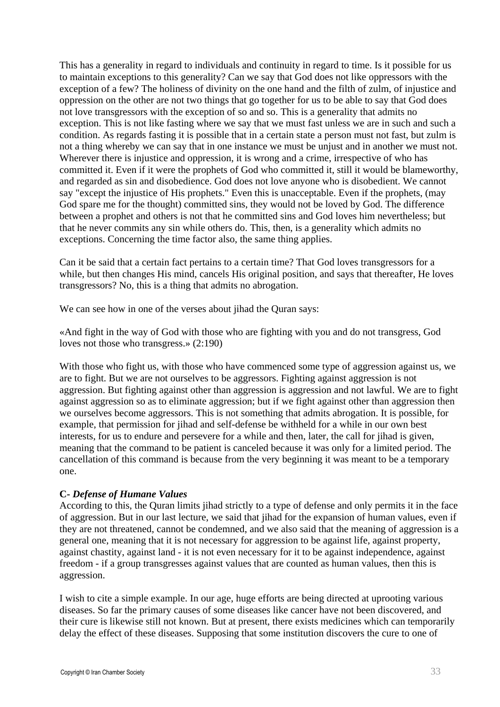This has a generality in regard to individuals and continuity in regard to time. Is it possible for us to maintain exceptions to this generality? Can we say that God does not like oppressors with the exception of a few? The holiness of divinity on the one hand and the filth of zulm, of injustice and oppression on the other are not two things that go together for us to be able to say that God does not love transgressors with the exception of so and so. This is a generality that admits no exception. This is not like fasting where we say that we must fast unless we are in such and such a condition. As regards fasting it is possible that in a certain state a person must not fast, but zulm is not a thing whereby we can say that in one instance we must be unjust and in another we must not. Wherever there is injustice and oppression, it is wrong and a crime, irrespective of who has committed it. Even if it were the prophets of God who committed it, still it would be blameworthy, and regarded as sin and disobedience. God does not love anyone who is disobedient. We cannot say "except the injustice of His prophets." Even this is unacceptable. Even if the prophets, (may God spare me for the thought) committed sins, they would not be loved by God. The difference between a prophet and others is not that he committed sins and God loves him nevertheless; but that he never commits any sin while others do. This, then, is a generality which admits no exceptions. Concerning the time factor also, the same thing applies.

Can it be said that a certain fact pertains to a certain time? That God loves transgressors for a while, but then changes His mind, cancels His original position, and says that thereafter, He loves transgressors? No, this is a thing that admits no abrogation.

We can see how in one of the verses about jihad the Quran says:

«And fight in the way of God with those who are fighting with you and do not transgress, God loves not those who transgress.» (2:190)

With those who fight us, with those who have commenced some type of aggression against us, we are to fight. But we are not ourselves to be aggressors. Fighting against aggression is not aggression. But fighting against other than aggression is aggression and not lawful. We are to fight against aggression so as to eliminate aggression; but if we fight against other than aggression then we ourselves become aggressors. This is not something that admits abrogation. It is possible, for example, that permission for jihad and self-defense be withheld for a while in our own best interests, for us to endure and persevere for a while and then, later, the call for jihad is given, meaning that the command to be patient is canceled because it was only for a limited period. The cancellation of this command is because from the very beginning it was meant to be a temporary one.

#### **C-** *Defense of Humane Values*

According to this, the Quran limits jihad strictly to a type of defense and only permits it in the face of aggression. But in our last lecture, we said that jihad for the expansion of human values, even if they are not threatened, cannot be condemned, and we also said that the meaning of aggression is a general one, meaning that it is not necessary for aggression to be against life, against property, against chastity, against land - it is not even necessary for it to be against independence, against freedom - if a group transgresses against values that are counted as human values, then this is aggression.

I wish to cite a simple example. In our age, huge efforts are being directed at uprooting various diseases. So far the primary causes of some diseases like cancer have not been discovered, and their cure is likewise still not known. But at present, there exists medicines which can temporarily delay the effect of these diseases. Supposing that some institution discovers the cure to one of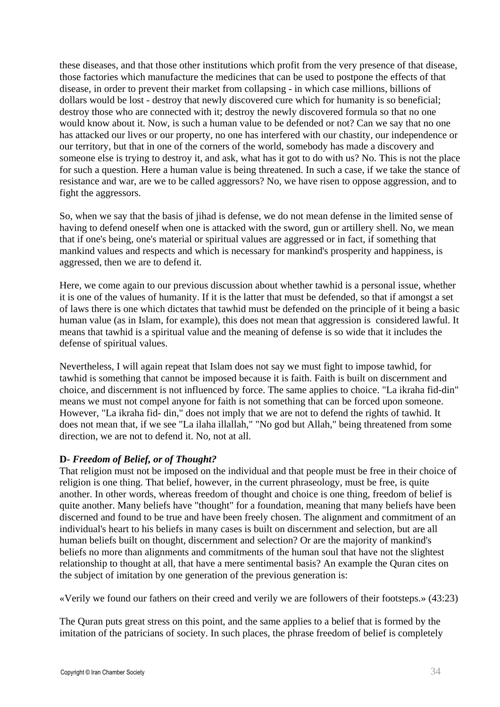these diseases, and that those other institutions which profit from the very presence of that disease, those factories which manufacture the medicines that can be used to postpone the effects of that disease, in order to prevent their market from collapsing - in which case millions, billions of dollars would be lost - destroy that newly discovered cure which for humanity is so beneficial; destroy those who are connected with it; destroy the newly discovered formula so that no one would know about it. Now, is such a human value to be defended or not? Can we say that no one has attacked our lives or our property, no one has interfered with our chastity, our independence or our territory, but that in one of the corners of the world, somebody has made a discovery and someone else is trying to destroy it, and ask, what has it got to do with us? No. This is not the place for such a question. Here a human value is being threatened. In such a case, if we take the stance of resistance and war, are we to be called aggressors? No, we have risen to oppose aggression, and to fight the aggressors.

So, when we say that the basis of jihad is defense, we do not mean defense in the limited sense of having to defend oneself when one is attacked with the sword, gun or artillery shell. No, we mean that if one's being, one's material or spiritual values are aggressed or in fact, if something that mankind values and respects and which is necessary for mankind's prosperity and happiness, is aggressed, then we are to defend it.

Here, we come again to our previous discussion about whether tawhid is a personal issue, whether it is one of the values of humanity. If it is the latter that must be defended, so that if amongst a set of laws there is one which dictates that tawhid must be defended on the principle of it being a basic human value (as in Islam, for example), this does not mean that aggression is considered lawful. It means that tawhid is a spiritual value and the meaning of defense is so wide that it includes the defense of spiritual values.

Nevertheless, I will again repeat that Islam does not say we must fight to impose tawhid, for tawhid is something that cannot be imposed because it is faith. Faith is built on discernment and choice, and discernment is not influenced by force. The same applies to choice. "La ikraha fid-din" means we must not compel anyone for faith is not something that can be forced upon someone. However, "La ikraha fid- din," does not imply that we are not to defend the rights of tawhid. It does not mean that, if we see "La ilaha illallah," "No god but Allah," being threatened from some direction, we are not to defend it. No, not at all.

#### **D-** *Freedom of Belief, or of Thought?*

That religion must not be imposed on the individual and that people must be free in their choice of religion is one thing. That belief, however, in the current phraseology, must be free, is quite another. In other words, whereas freedom of thought and choice is one thing, freedom of belief is quite another. Many beliefs have "thought" for a foundation, meaning that many beliefs have been discerned and found to be true and have been freely chosen. The alignment and commitment of an individual's heart to his beliefs in many cases is built on discernment and selection, but are all human beliefs built on thought, discernment and selection? Or are the majority of mankind's beliefs no more than alignments and commitments of the human soul that have not the slightest relationship to thought at all, that have a mere sentimental basis? An example the Quran cites on the subject of imitation by one generation of the previous generation is:

«Verily we found our fathers on their creed and verily we are followers of their footsteps.» (43:23)

The Quran puts great stress on this point, and the same applies to a belief that is formed by the imitation of the patricians of society. In such places, the phrase freedom of belief is completely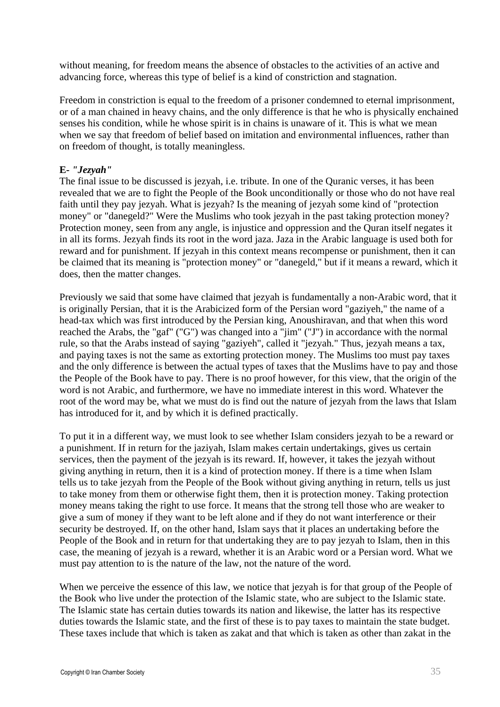without meaning, for freedom means the absence of obstacles to the activities of an active and advancing force, whereas this type of belief is a kind of constriction and stagnation.

Freedom in constriction is equal to the freedom of a prisoner condemned to eternal imprisonment, or of a man chained in heavy chains, and the only difference is that he who is physically enchained senses his condition, while he whose spirit is in chains is unaware of it. This is what we mean when we say that freedom of belief based on imitation and environmental influences, rather than on freedom of thought, is totally meaningless.

#### **E-** *"Jezyah"*

The final issue to be discussed is jezyah, i.e. tribute. In one of the Quranic verses, it has been revealed that we are to fight the People of the Book unconditionally or those who do not have real faith until they pay jezyah. What is jezyah? Is the meaning of jezyah some kind of "protection money" or "danegeld?" Were the Muslims who took jezyah in the past taking protection money? Protection money, seen from any angle, is injustice and oppression and the Quran itself negates it in all its forms. Jezyah finds its root in the word jaza. Jaza in the Arabic language is used both for reward and for punishment. If jezyah in this context means recompense or punishment, then it can be claimed that its meaning is "protection money" or "danegeld," but if it means a reward, which it does, then the matter changes.

Previously we said that some have claimed that jezyah is fundamentally a non-Arabic word, that it is originally Persian, that it is the Arabicized form of the Persian word "gaziyeh," the name of a head-tax which was first introduced by the Persian king, Anoushiravan, and that when this word reached the Arabs, the "gaf" ("G") was changed into a "jim" ("J") in accordance with the normal rule, so that the Arabs instead of saying "gaziyeh", called it "jezyah." Thus, jezyah means a tax, and paying taxes is not the same as extorting protection money. The Muslims too must pay taxes and the only difference is between the actual types of taxes that the Muslims have to pay and those the People of the Book have to pay. There is no proof however, for this view, that the origin of the word is not Arabic, and furthermore, we have no immediate interest in this word. Whatever the root of the word may be, what we must do is find out the nature of jezyah from the laws that Islam has introduced for it, and by which it is defined practically.

To put it in a different way, we must look to see whether Islam considers jezyah to be a reward or a punishment. If in return for the jaziyah, Islam makes certain undertakings, gives us certain services, then the payment of the jezyah is its reward. If, however, it takes the jezyah without giving anything in return, then it is a kind of protection money. If there is a time when Islam tells us to take jezyah from the People of the Book without giving anything in return, tells us just to take money from them or otherwise fight them, then it is protection money. Taking protection money means taking the right to use force. It means that the strong tell those who are weaker to give a sum of money if they want to be left alone and if they do not want interference or their security be destroyed. If, on the other hand, Islam says that it places an undertaking before the People of the Book and in return for that undertaking they are to pay jezyah to Islam, then in this case, the meaning of jezyah is a reward, whether it is an Arabic word or a Persian word. What we must pay attention to is the nature of the law, not the nature of the word.

When we perceive the essence of this law, we notice that jezyah is for that group of the People of the Book who live under the protection of the Islamic state, who are subject to the Islamic state. The Islamic state has certain duties towards its nation and likewise, the latter has its respective duties towards the Islamic state, and the first of these is to pay taxes to maintain the state budget. These taxes include that which is taken as zakat and that which is taken as other than zakat in the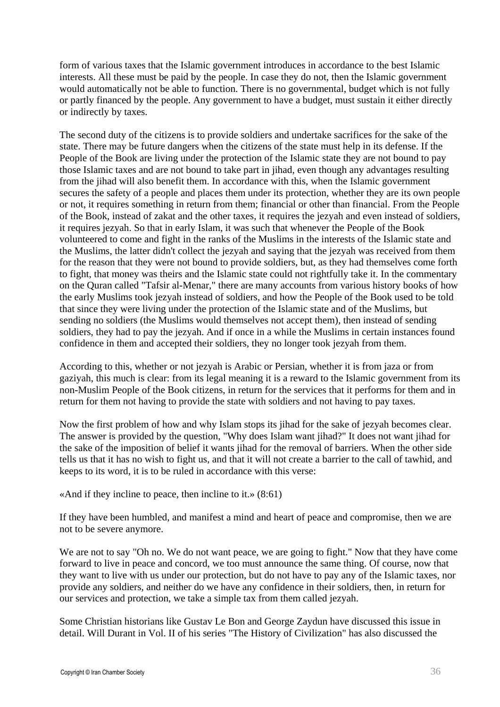form of various taxes that the Islamic government introduces in accordance to the best Islamic interests. All these must be paid by the people. In case they do not, then the Islamic government would automatically not be able to function. There is no governmental, budget which is not fully or partly financed by the people. Any government to have a budget, must sustain it either directly or indirectly by taxes.

The second duty of the citizens is to provide soldiers and undertake sacrifices for the sake of the state. There may be future dangers when the citizens of the state must help in its defense. If the People of the Book are living under the protection of the Islamic state they are not bound to pay those Islamic taxes and are not bound to take part in jihad, even though any advantages resulting from the jihad will also benefit them. In accordance with this, when the Islamic government secures the safety of a people and places them under its protection, whether they are its own people or not, it requires something in return from them; financial or other than financial. From the People of the Book, instead of zakat and the other taxes, it requires the jezyah and even instead of soldiers, it requires jezyah. So that in early Islam, it was such that whenever the People of the Book volunteered to come and fight in the ranks of the Muslims in the interests of the Islamic state and the Muslims, the latter didn't collect the jezyah and saying that the jezyah was received from them for the reason that they were not bound to provide soldiers, but, as they had themselves come forth to fight, that money was theirs and the Islamic state could not rightfully take it. In the commentary on the Quran called "Tafsir al-Menar," there are many accounts from various history books of how the early Muslims took jezyah instead of soldiers, and how the People of the Book used to be told that since they were living under the protection of the Islamic state and of the Muslims, but sending no soldiers (the Muslims would themselves not accept them), then instead of sending soldiers, they had to pay the jezyah. And if once in a while the Muslims in certain instances found confidence in them and accepted their soldiers, they no longer took jezyah from them.

According to this, whether or not jezyah is Arabic or Persian, whether it is from jaza or from gaziyah, this much is clear: from its legal meaning it is a reward to the Islamic government from its non-Muslim People of the Book citizens, in return for the services that it performs for them and in return for them not having to provide the state with soldiers and not having to pay taxes.

Now the first problem of how and why Islam stops its jihad for the sake of jezyah becomes clear. The answer is provided by the question, "Why does Islam want jihad?" It does not want jihad for the sake of the imposition of belief it wants jihad for the removal of barriers. When the other side tells us that it has no wish to fight us, and that it will not create a barrier to the call of tawhid, and keeps to its word, it is to be ruled in accordance with this verse:

«And if they incline to peace, then incline to it.» (8:61)

If they have been humbled, and manifest a mind and heart of peace and compromise, then we are not to be severe anymore.

We are not to say "Oh no. We do not want peace, we are going to fight." Now that they have come forward to live in peace and concord, we too must announce the same thing. Of course, now that they want to live with us under our protection, but do not have to pay any of the Islamic taxes, nor provide any soldiers, and neither do we have any confidence in their soldiers, then, in return for our services and protection, we take a simple tax from them called jezyah.

Some Christian historians like Gustav Le Bon and George Zaydun have discussed this issue in detail. Will Durant in Vol. II of his series "The History of Civilization" has also discussed the